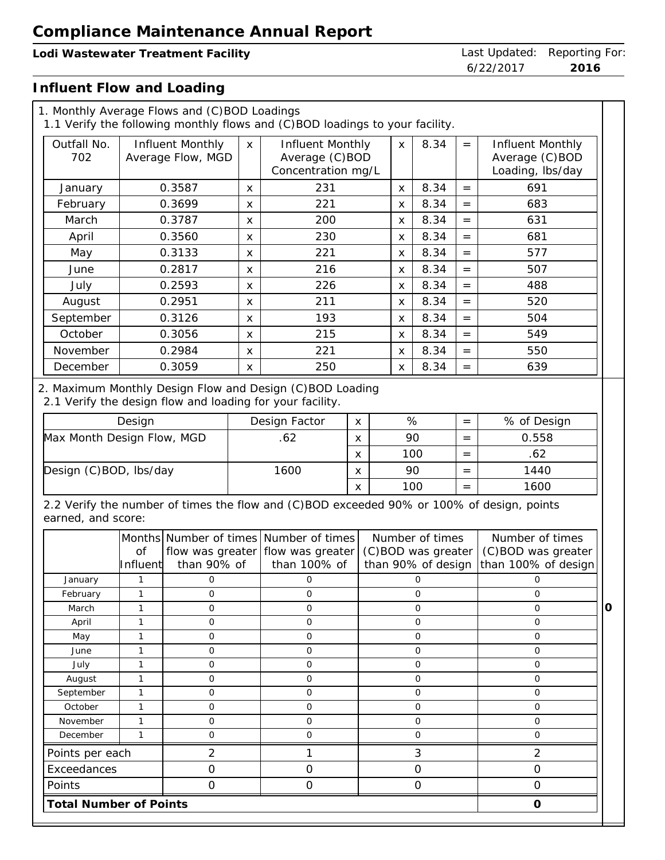## **Lodi Wastewater Treatment Facility** Last Updated: Reporting For:

6/22/2017 **2016**

## **Influent Flow and Loading**

|                            |                              | 1. Monthly Average Flows and (C)BOD Loadings              |                           | 1.1 Verify the following monthly flows and (C)BOD loadings to your facility.              |              |  |                |                                                             |     |                                                              |
|----------------------------|------------------------------|-----------------------------------------------------------|---------------------------|-------------------------------------------------------------------------------------------|--------------|--|----------------|-------------------------------------------------------------|-----|--------------------------------------------------------------|
| Outfall No.<br>702         |                              | Influent Monthly<br>Average Flow, MGD                     | $\mathsf{X}$              | Influent Monthly<br>Average (C)BOD<br>Concentration mg/L                                  |              |  | $\mathsf{x}$   | 8.34                                                        | $=$ | Influent Monthly<br>Average (C)BOD<br>Loading, lbs/day       |
| January                    |                              | 0.3587                                                    | X                         | 231                                                                                       |              |  | X              | 8.34                                                        | $=$ | 691                                                          |
| February                   |                              | 0.3699                                                    | X                         | 221                                                                                       |              |  | X              | 8.34                                                        | $=$ | 683                                                          |
| March                      |                              | 0.3787                                                    | $\mathsf{x}$              | 200                                                                                       |              |  | X              | 8.34                                                        | $=$ | 631                                                          |
| April                      |                              | 0.3560                                                    | X                         | 230                                                                                       |              |  | X              | 8.34                                                        | $=$ | 681                                                          |
| May                        |                              | 0.3133                                                    | $\mathsf{x}$              | 221                                                                                       |              |  | $\mathsf{x}$   | 8.34                                                        | $=$ | 577                                                          |
| June                       |                              | 0.2817                                                    | $\boldsymbol{\mathsf{x}}$ | 216                                                                                       |              |  | X              | 8.34                                                        | $=$ | 507                                                          |
| July                       |                              | 0.2593                                                    | X                         | 226                                                                                       |              |  | X              | 8.34                                                        | $=$ | 488                                                          |
| August                     |                              | 0.2951                                                    | X                         | 211                                                                                       |              |  | $\mathsf{x}$   | 8.34                                                        | $=$ | 520                                                          |
| September                  |                              | 0.3126                                                    | X                         | 193                                                                                       |              |  | X              | 8.34                                                        | $=$ | 504                                                          |
| October                    |                              | 0.3056                                                    | X                         | 215                                                                                       |              |  | X              | 8.34                                                        | $=$ | 549                                                          |
| November                   |                              | 0.2984                                                    | $\mathsf{x}$              | 221                                                                                       |              |  | $\pmb{\times}$ | 8.34                                                        | $=$ | 550                                                          |
|                            |                              |                                                           |                           |                                                                                           |              |  |                |                                                             |     |                                                              |
| December                   |                              | 0.3059                                                    | X                         | 250<br>2. Maximum Monthly Design Flow and Design (C)BOD Loading                           |              |  | X              | 8.34                                                        | $=$ | 639                                                          |
|                            | Design                       |                                                           |                           | 2.1 Verify the design flow and loading for your facility.<br>Design Factor                | X            |  | $\%$           |                                                             | $=$ | % of Design                                                  |
| Max Month Design Flow, MGD |                              |                                                           |                           | .62                                                                                       | X            |  | 90             |                                                             | $=$ | 0.558                                                        |
|                            |                              |                                                           |                           |                                                                                           | X            |  |                | 100                                                         | $=$ | .62                                                          |
| Design (C)BOD, lbs/day     |                              |                                                           |                           | 1600                                                                                      | X            |  | 90             |                                                             | $=$ | 1440                                                         |
|                            |                              |                                                           |                           |                                                                                           | $\mathsf{x}$ |  | 100            |                                                             | $=$ | 1600                                                         |
| earned, and score:         |                              |                                                           |                           | 2.2 Verify the number of times the flow and (C)BOD exceeded 90% or 100% of design, points |              |  |                |                                                             |     |                                                              |
|                            | Οf<br>Influent               | Months Number of times<br>flow was greater<br>than 90% of |                           | Number of times<br>flow was greater<br>than 100% of                                       |              |  |                | Number of times<br>(C)BOD was greater<br>than 90% of design |     | Number of times<br>(C)BOD was greater<br>than 100% of design |
| January                    | 1                            | $\mathbf{O}$                                              |                           | $\mathbf{O}$                                                                              |              |  |                | $\overline{O}$                                              |     | $\mathbf{O}$                                                 |
| February                   | $\mathbf{1}$                 | $\mathcal{O}$                                             |                           | $\mathbf{O}$                                                                              |              |  |                | $\mathbf{O}$                                                |     | $\circ$                                                      |
| March                      | $\mathbf{1}$                 | $\overline{O}$                                            |                           | $\overline{O}$                                                                            |              |  |                | $\overline{O}$                                              |     | $\overline{O}$                                               |
| April                      | $\mathbf{1}$                 | 0                                                         |                           | $\mathbf 0$                                                                               |              |  |                | 0                                                           |     | $\mathbf 0$                                                  |
| May<br>June                | $\mathbf{1}$<br>$\mathbf{1}$ | $\overline{O}$<br>0                                       |                           | $\mathbf{O}$<br>0                                                                         |              |  |                | 0<br>O                                                      |     | $\mathbf 0$<br>$\mathbf 0$                                   |

July | 1 | 0 | 0 | 0 | 0 August 1 0 0 0 0 September 1 1 0 0 0 0 0 0 0 October | 1 | 0 | 0 | 0 | 0 | 0 November | 1 | 0 0 | 0 0 | 0 0 | 0 December | 1 | 0 | 0 | 0 | 0 | 0 | 0 Points per each 2 1 3 2 Exceedances 0 0 0 0 Points 0 0 0 0  **Total Number of Points 0**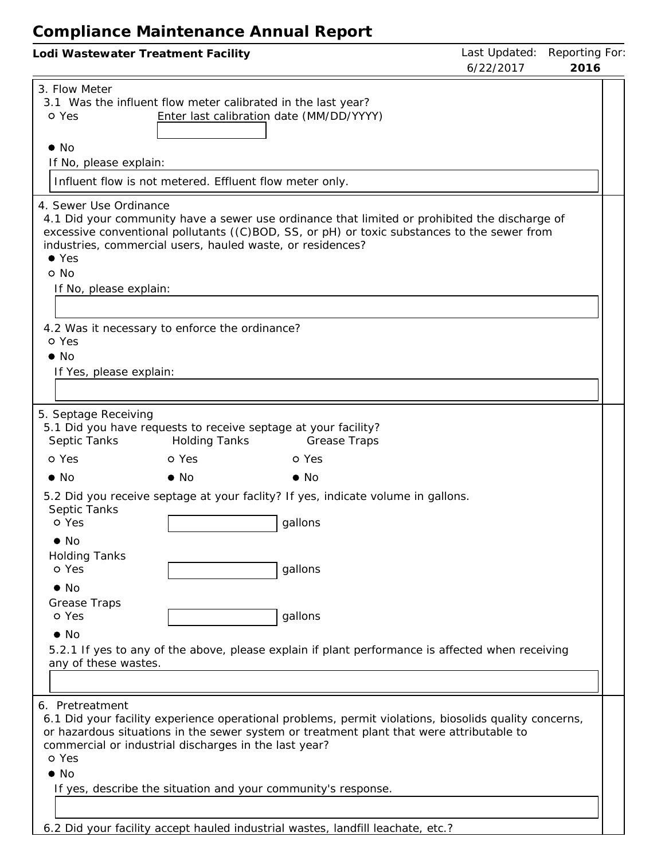| Lodi Wastewater Treatment Facility                                                                                                                                                                                                                                                                                                                                                                                                                                                                                                                                                                                   | Last Updated:<br>6/22/2017 | Reporting For:<br>2016 |
|----------------------------------------------------------------------------------------------------------------------------------------------------------------------------------------------------------------------------------------------------------------------------------------------------------------------------------------------------------------------------------------------------------------------------------------------------------------------------------------------------------------------------------------------------------------------------------------------------------------------|----------------------------|------------------------|
| 3. Flow Meter<br>3.1 Was the influent flow meter calibrated in the last year?<br>Enter last calibration date (MM/DD/YYYY)<br>o Yes<br>$\bullet$ No<br>If No, please explain:                                                                                                                                                                                                                                                                                                                                                                                                                                         |                            |                        |
| Influent flow is not metered. Effluent flow meter only.                                                                                                                                                                                                                                                                                                                                                                                                                                                                                                                                                              |                            |                        |
| 4. Sewer Use Ordinance<br>4.1 Did your community have a sewer use ordinance that limited or prohibited the discharge of<br>excessive conventional pollutants ((C)BOD, SS, or pH) or toxic substances to the sewer from<br>industries, commercial users, hauled waste, or residences?<br>$\bullet$ Yes<br>o No<br>If No, please explain:<br>4.2 Was it necessary to enforce the ordinance?                                                                                                                                                                                                                            |                            |                        |
| o Yes<br>$\bullet$ No<br>If Yes, please explain:                                                                                                                                                                                                                                                                                                                                                                                                                                                                                                                                                                     |                            |                        |
| 5. Septage Receiving<br>5.1 Did you have requests to receive septage at your facility?<br>Septic Tanks<br><b>Holding Tanks</b><br><b>Grease Traps</b><br>o Yes<br>o Yes<br>o Yes<br>$\bullet$ No<br>$\bullet$ No<br>$\bullet$ No<br>5.2 Did you receive septage at your faclity? If yes, indicate volume in gallons.<br>Septic Tanks<br>o Yes<br>gallons<br>$\bullet$ No<br><b>Holding Tanks</b><br>o Yes<br>gallons<br>$\bullet$ No<br>Grease Traps<br>o Yes<br>gallons<br>$\bullet$ No<br>5.2.1 If yes to any of the above, please explain if plant performance is affected when receiving<br>any of these wastes. |                            |                        |
| 6. Pretreatment<br>6.1 Did your facility experience operational problems, permit violations, biosolids quality concerns,<br>or hazardous situations in the sewer system or treatment plant that were attributable to<br>commercial or industrial discharges in the last year?<br>o Yes<br>$\bullet$ No<br>If yes, describe the situation and your community's response.<br>6.2 Did your facility accept hauled industrial wastes Jandfill leachate etc.2                                                                                                                                                             |                            |                        |

6.2 Did your facility accept hauled industrial wastes, landfill leachate, etc.?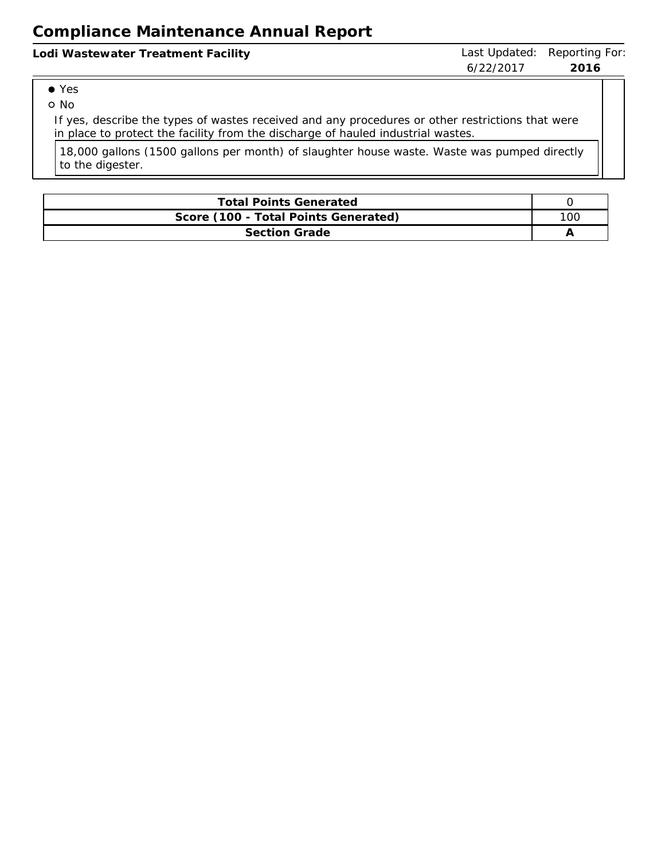Yes

o No

If yes, describe the types of wastes received and any procedures or other restrictions that were in place to protect the facility from the discharge of hauled industrial wastes.

18,000 gallons (1500 gallons per month) of slaughter house waste. Waste was pumped directly to the digester.

| <b>Total Points Generated</b>        |     |  |  |  |  |
|--------------------------------------|-----|--|--|--|--|
| Score (100 - Total Points Generated) | 100 |  |  |  |  |
| <b>Section Grade</b>                 |     |  |  |  |  |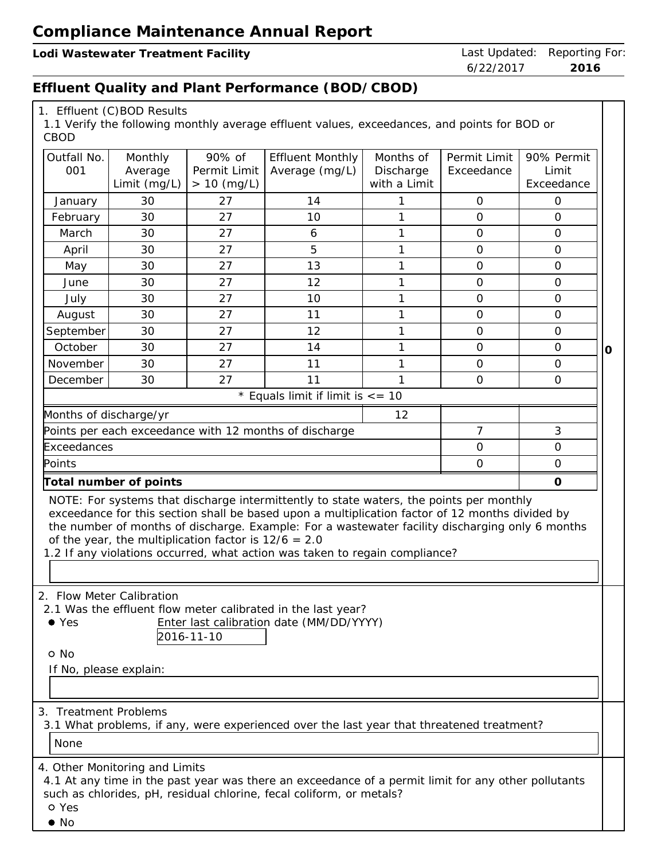**Lodi** Wastewater Treatment Facility **Last Updated:** Reporting For:

6/22/2017 **2016**

## **Effluent Quality and Plant Performance (BOD/CBOD)**

| CBOD                                            | 1. Effluent (C)BOD Results                             |                                         | 1.1 Verify the following monthly average effluent values, exceedances, and points for BOD or                                                                                                                                                                                                                                                                                 |                                        |                            |                                   |
|-------------------------------------------------|--------------------------------------------------------|-----------------------------------------|------------------------------------------------------------------------------------------------------------------------------------------------------------------------------------------------------------------------------------------------------------------------------------------------------------------------------------------------------------------------------|----------------------------------------|----------------------------|-----------------------------------|
| Outfall No.<br>001                              | Monthly<br>Average<br>Limit (mg/L)                     | 90% of<br>Permit Limit<br>$> 10$ (mg/L) | <b>Effluent Monthly</b><br>Average (mg/L)                                                                                                                                                                                                                                                                                                                                    | Months of<br>Discharge<br>with a Limit | Permit Limit<br>Exceedance | 90% Permit<br>Limit<br>Exceedance |
| January                                         | 30                                                     | 27                                      | 14                                                                                                                                                                                                                                                                                                                                                                           |                                        | $\mathbf{O}$               | $\mathbf 0$                       |
| February                                        | 30                                                     | 27                                      | 10                                                                                                                                                                                                                                                                                                                                                                           | 1                                      | $\mathbf{O}$               | $\Omega$                          |
| March                                           | 30                                                     | 27                                      | 6                                                                                                                                                                                                                                                                                                                                                                            | $\mathbf{1}$                           | $\mathsf O$                | $\overline{O}$                    |
| April                                           | 30                                                     | 27                                      | 5                                                                                                                                                                                                                                                                                                                                                                            | $\mathbf{1}$                           | $\mathbf{O}$               | $\mathbf{O}$                      |
| May                                             | 30                                                     | 27                                      | 13                                                                                                                                                                                                                                                                                                                                                                           | 1                                      | $\mathbf{O}$               | $\overline{O}$                    |
| June                                            | 30                                                     | 27                                      | 12                                                                                                                                                                                                                                                                                                                                                                           | 1                                      | $\mathbf{O}$               | $\mathbf{O}$                      |
| July                                            | 30                                                     | 27                                      | 10                                                                                                                                                                                                                                                                                                                                                                           | $\mathbf{1}$                           | $\mathbf{O}$               | $\mathbf{O}$                      |
| August                                          | 30                                                     | 27                                      | 11                                                                                                                                                                                                                                                                                                                                                                           | $\mathbf{1}$                           | $\mathbf{O}$               | $\mathbf{O}$                      |
| September                                       | 30                                                     | 27                                      | 12                                                                                                                                                                                                                                                                                                                                                                           | 1                                      | $\mathbf{O}$               | $\overline{O}$                    |
| October                                         | 30                                                     | 27                                      | 14                                                                                                                                                                                                                                                                                                                                                                           | 1                                      | $\mathbf{O}$               | $\mathbf{O}$<br>$\circ$           |
| November                                        | 30                                                     | 27                                      | 11                                                                                                                                                                                                                                                                                                                                                                           | $\mathbf{1}$                           | $\mathbf{O}$               | $\mathbf{O}$                      |
| December                                        | 30                                                     | 27                                      | 11                                                                                                                                                                                                                                                                                                                                                                           | 1                                      | $\overline{O}$             | $\Omega$                          |
|                                                 |                                                        |                                         | * Equals limit if limit is $\epsilon$ = 10                                                                                                                                                                                                                                                                                                                                   |                                        |                            |                                   |
| Months of discharge/yr                          |                                                        |                                         |                                                                                                                                                                                                                                                                                                                                                                              | 12                                     |                            |                                   |
|                                                 |                                                        |                                         | Points per each exceedance with 12 months of discharge                                                                                                                                                                                                                                                                                                                       |                                        | $\overline{7}$             | 3                                 |
| Exceedances                                     |                                                        |                                         |                                                                                                                                                                                                                                                                                                                                                                              |                                        | $\overline{O}$             | $\overline{O}$                    |
| Points                                          |                                                        |                                         |                                                                                                                                                                                                                                                                                                                                                                              |                                        | $\mathbf{O}$               | $\mathbf{O}$                      |
|                                                 | $\circ$<br>Total number of points                      |                                         |                                                                                                                                                                                                                                                                                                                                                                              |                                        |                            |                                   |
|                                                 | of the year, the multiplication factor is $12/6 = 2.0$ |                                         | NOTE: For systems that discharge intermittently to state waters, the points per monthly<br>exceedance for this section shall be based upon a multiplication factor of 12 months divided by<br>the number of months of discharge. Example: For a wastewater facility discharging only 6 months<br>1.2 If any violations occurred, what action was taken to regain compliance? |                                        |                            |                                   |
| $\bullet$ Yes<br>o No<br>If No, please explain: | 2. Flow Meter Calibration                              | 2016-11-10                              | 2.1 Was the effluent flow meter calibrated in the last year?<br>Enter last calibration date (MM/DD/YYYY)                                                                                                                                                                                                                                                                     |                                        |                            |                                   |
| 3. Treatment Problems<br>None                   | 4. Other Monitoring and Limits                         |                                         | 3.1 What problems, if any, were experienced over the last year that threatened treatment?                                                                                                                                                                                                                                                                                    |                                        |                            |                                   |
| o Yes                                           |                                                        |                                         | 4.1 At any time in the past year was there an exceedance of a permit limit for any other pollutants<br>such as chlorides, pH, residual chlorine, fecal coliform, or metals?                                                                                                                                                                                                  |                                        |                            |                                   |

No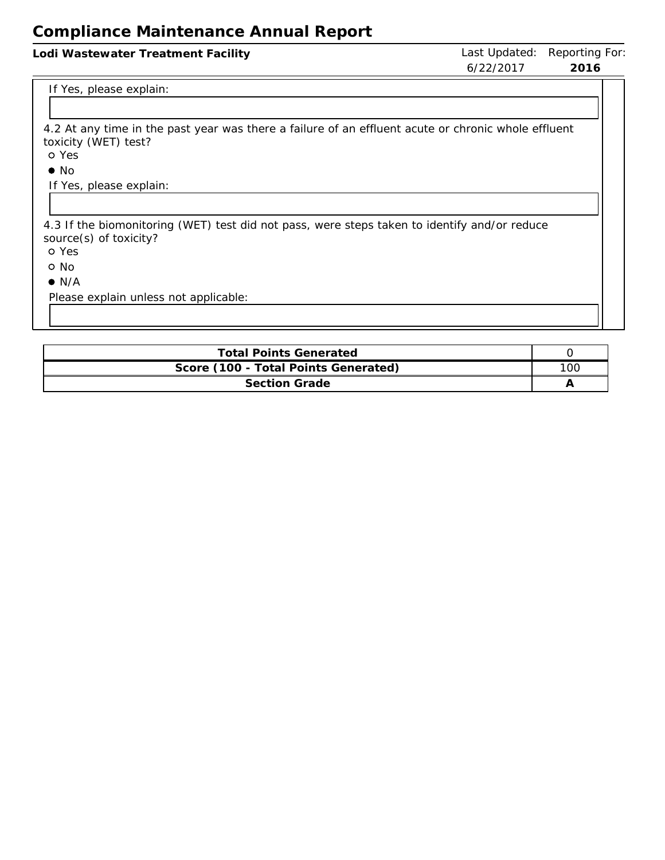#### Lodi Wastewater Treatment Facility **Last Updated: Reporting For:** Last Updated: Reporting For:

6/22/2017 **2016**

#### If Yes, please explain:

4.2 At any time in the past year was there <sup>a</sup> failure of an effluent acute or chronic whole effluent toxicity (WET) test?

Yes

 $\bullet$  No

If Yes, please explain:

4.3 If the biomonitoring (WET) test did not pass, were steps taken to identify and/or reduce source(s) of toxicity?

Yes

o No

 $\bullet$  N/A

Please explain unless not applicable:

| <b>Total Points Generated</b>        |     |  |  |  |  |
|--------------------------------------|-----|--|--|--|--|
| Score (100 - Total Points Generated) | 10C |  |  |  |  |
| <b>Section Grade</b>                 |     |  |  |  |  |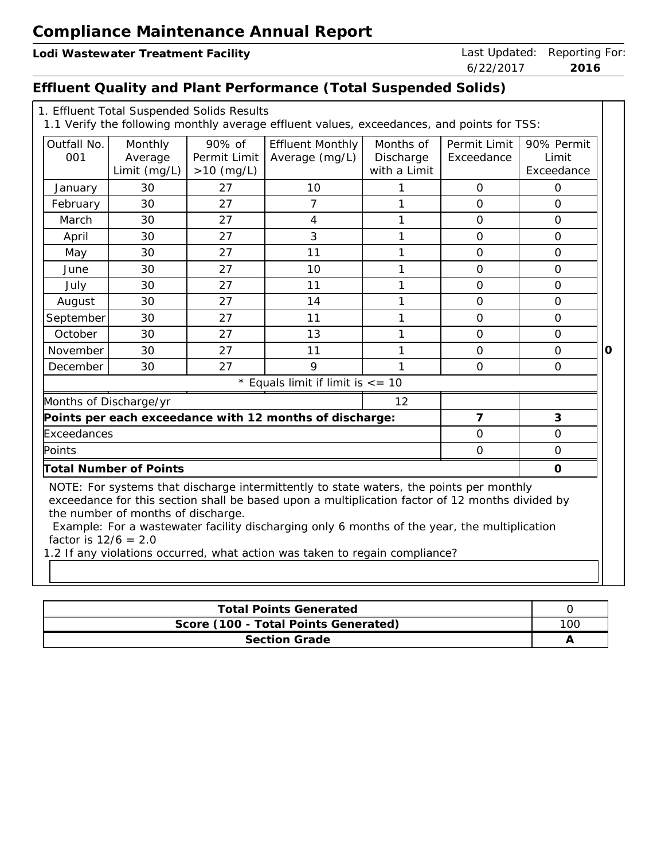# **Effluent Quality and Plant Performance (Total Suspended Solids)**

|                        | 1. Effluent Total Suspended Solids Results     |                                        | 1.1 Verify the following monthly average effluent values, exceedances, and points for TSS:                                                                                                                                                                                                                                                                                |                                        |                            |                                   |         |  |
|------------------------|------------------------------------------------|----------------------------------------|---------------------------------------------------------------------------------------------------------------------------------------------------------------------------------------------------------------------------------------------------------------------------------------------------------------------------------------------------------------------------|----------------------------------------|----------------------------|-----------------------------------|---------|--|
| Outfall No.<br>001     | Monthly<br>Average<br>Limit (mg/L)             | 90% of<br>Permit Limit<br>$>10$ (mg/L) | <b>Effluent Monthly</b><br>Average (mg/L)                                                                                                                                                                                                                                                                                                                                 | Months of<br>Discharge<br>with a Limit | Permit Limit<br>Exceedance | 90% Permit<br>Limit<br>Exceedance |         |  |
| January                | 30                                             | 27                                     | 10                                                                                                                                                                                                                                                                                                                                                                        | 1                                      | $\overline{O}$             | $\overline{O}$                    |         |  |
| February               | 30                                             | 27                                     | $\overline{7}$                                                                                                                                                                                                                                                                                                                                                            | 1                                      | $\overline{0}$             | $\overline{O}$                    |         |  |
| March                  | 30                                             | 27                                     | $\overline{4}$                                                                                                                                                                                                                                                                                                                                                            | $\mathbf{1}$                           | $\Omega$                   | $\Omega$                          |         |  |
| April                  | 30                                             | 27                                     | $\overline{3}$                                                                                                                                                                                                                                                                                                                                                            | $\mathbf{1}$                           | $\overline{0}$             | $\overline{O}$                    |         |  |
| May                    | 30                                             | 27                                     | 11                                                                                                                                                                                                                                                                                                                                                                        | $\mathbf{1}$                           | $\overline{0}$             | $\mathbf{O}$                      |         |  |
| June                   | 30                                             | 27                                     | 10                                                                                                                                                                                                                                                                                                                                                                        | $\mathbf{1}$                           | $\mathbf{O}$               | $\mathbf{O}$                      |         |  |
| July                   | 30                                             | 27                                     | 11                                                                                                                                                                                                                                                                                                                                                                        | $\mathbf{1}$                           | $\mathbf 0$                | $\overline{O}$                    |         |  |
| August                 | 30                                             | 27                                     | 14                                                                                                                                                                                                                                                                                                                                                                        | 1                                      | $\Omega$                   | $\Omega$                          |         |  |
| September              | 30                                             | 27                                     | 11                                                                                                                                                                                                                                                                                                                                                                        | $\mathbf{1}$                           | $\mathbf{O}$               | $\mathbf{O}$                      |         |  |
| October                | 30                                             | 27                                     | 13                                                                                                                                                                                                                                                                                                                                                                        | $\mathbf{1}$                           | $\mathbf{O}$               | $\mathbf{O}$                      |         |  |
| November               | 30                                             | 27                                     | 11                                                                                                                                                                                                                                                                                                                                                                        | 1                                      | $\overline{O}$             | $\Omega$                          | $\circ$ |  |
| December               | 30                                             | 27                                     | 9                                                                                                                                                                                                                                                                                                                                                                         | 1                                      | $\mathbf{O}$               | $\mathbf{O}$                      |         |  |
|                        |                                                |                                        | * Equals limit if limit is $\epsilon$ = 10                                                                                                                                                                                                                                                                                                                                |                                        |                            |                                   |         |  |
| Months of Discharge/yr |                                                |                                        |                                                                                                                                                                                                                                                                                                                                                                           | 12                                     |                            |                                   |         |  |
|                        |                                                |                                        | Points per each exceedance with 12 months of discharge:                                                                                                                                                                                                                                                                                                                   |                                        | $\overline{7}$             | 3                                 |         |  |
| Exceedances            |                                                |                                        |                                                                                                                                                                                                                                                                                                                                                                           |                                        | $\overline{O}$             | $\overline{O}$                    |         |  |
| Points                 |                                                |                                        |                                                                                                                                                                                                                                                                                                                                                                           |                                        | $\overline{0}$             | $\mathbf{O}$                      |         |  |
|                        | <b>Total Number of Points</b><br>$\mathcal{O}$ |                                        |                                                                                                                                                                                                                                                                                                                                                                           |                                        |                            |                                   |         |  |
| factor is $12/6 = 2.0$ | the number of months of discharge.             |                                        | NOTE: For systems that discharge intermittently to state waters, the points per monthly<br>exceedance for this section shall be based upon a multiplication factor of 12 months divided by<br>Example: For a wastewater facility discharging only 6 months of the year, the multiplication<br>1.2 If any violations occurred, what action was taken to regain compliance? |                                        |                            |                                   |         |  |

| <b>Total Points Generated</b>        |     |  |  |  |  |
|--------------------------------------|-----|--|--|--|--|
| Score (100 - Total Points Generated) | 10C |  |  |  |  |
| Section Grade                        |     |  |  |  |  |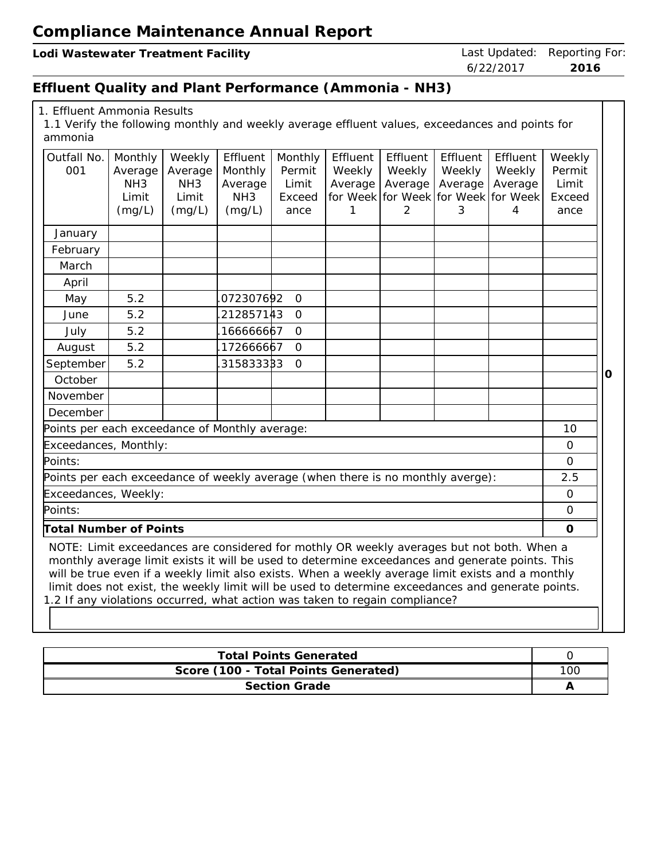Lodi Wastewater Treatment Facility **Last Updated: Reporting For:** Last Updated: Reporting For:

6/22/2017 **2016**

## **Effluent Quality and Plant Performance (Ammonia - NH3)**

| 1. Effluent Ammonia Results |  |  |
|-----------------------------|--|--|
|-----------------------------|--|--|

1.1 Verify the following monthly and weekly average effluent values, exceedances and points for ammonia

| Outfall No.<br>001                                                                                                                                                                                                                                                                                                                                                                                     | Monthly<br>Average<br>NH <sub>3</sub> | Weekly<br>Average<br>NH <sub>3</sub> | Effluent<br>Monthly<br>Average | Monthly<br>Permit<br>Limit | Effluent<br>Weekly<br>Average | Effluent<br>Weekly<br>Average | Effluent<br>Weekly<br>Average | Effluent<br>Weekly<br>Average            | Weekly<br>Permit<br>Limit |
|--------------------------------------------------------------------------------------------------------------------------------------------------------------------------------------------------------------------------------------------------------------------------------------------------------------------------------------------------------------------------------------------------------|---------------------------------------|--------------------------------------|--------------------------------|----------------------------|-------------------------------|-------------------------------|-------------------------------|------------------------------------------|---------------------------|
|                                                                                                                                                                                                                                                                                                                                                                                                        | Limit<br>(mg/L)                       | Limit<br>(mg/L)                      | NH <sub>3</sub><br>(mg/L)      | Exceed<br>ance             |                               | 2                             | 3                             | for Week for Week for Week for Week<br>4 | Exceed<br>ance            |
| January                                                                                                                                                                                                                                                                                                                                                                                                |                                       |                                      |                                |                            |                               |                               |                               |                                          |                           |
| February                                                                                                                                                                                                                                                                                                                                                                                               |                                       |                                      |                                |                            |                               |                               |                               |                                          |                           |
| March                                                                                                                                                                                                                                                                                                                                                                                                  |                                       |                                      |                                |                            |                               |                               |                               |                                          |                           |
| April                                                                                                                                                                                                                                                                                                                                                                                                  |                                       |                                      |                                |                            |                               |                               |                               |                                          |                           |
| May                                                                                                                                                                                                                                                                                                                                                                                                    | 5.2                                   |                                      | 072307692                      | $\mathbf{O}$               |                               |                               |                               |                                          |                           |
| June                                                                                                                                                                                                                                                                                                                                                                                                   | 5.2                                   |                                      | 212857143                      | $\overline{O}$             |                               |                               |                               |                                          |                           |
| July                                                                                                                                                                                                                                                                                                                                                                                                   | 5.2                                   |                                      | 166666667                      | $\overline{O}$             |                               |                               |                               |                                          |                           |
| August                                                                                                                                                                                                                                                                                                                                                                                                 | 5.2                                   |                                      | 172666667                      | $\overline{O}$             |                               |                               |                               |                                          |                           |
| September                                                                                                                                                                                                                                                                                                                                                                                              | 5.2                                   |                                      | 315833383                      | $\overline{O}$             |                               |                               |                               |                                          |                           |
| October                                                                                                                                                                                                                                                                                                                                                                                                |                                       |                                      |                                |                            |                               |                               |                               |                                          |                           |
| November                                                                                                                                                                                                                                                                                                                                                                                               |                                       |                                      |                                |                            |                               |                               |                               |                                          |                           |
| December                                                                                                                                                                                                                                                                                                                                                                                               |                                       |                                      |                                |                            |                               |                               |                               |                                          |                           |
| Points per each exceedance of Monthly average:                                                                                                                                                                                                                                                                                                                                                         |                                       |                                      |                                |                            |                               |                               |                               |                                          | 10                        |
| Exceedances, Monthly:                                                                                                                                                                                                                                                                                                                                                                                  |                                       |                                      |                                |                            |                               |                               |                               |                                          | $\Omega$                  |
| Points:                                                                                                                                                                                                                                                                                                                                                                                                |                                       |                                      |                                |                            |                               |                               |                               |                                          | $\overline{O}$            |
| Points per each exceedance of weekly average (when there is no monthly averge):                                                                                                                                                                                                                                                                                                                        |                                       |                                      |                                |                            |                               |                               |                               |                                          | 2.5                       |
| Exceedances, Weekly:                                                                                                                                                                                                                                                                                                                                                                                   |                                       |                                      |                                |                            |                               |                               |                               |                                          | 0                         |
| Points:                                                                                                                                                                                                                                                                                                                                                                                                |                                       |                                      |                                |                            |                               |                               |                               |                                          | $\Omega$                  |
| <b>Total Number of Points</b>                                                                                                                                                                                                                                                                                                                                                                          |                                       |                                      |                                |                            |                               |                               |                               |                                          | $\circ$                   |
| NOTE: Limit exceedances are considered for mothly OR weekly averages but not both. When a<br>monthly average limit exists it will be used to determine exceedances and generate points. This<br>will be true even if a weekly limit also exists. When a weekly average limit exists and a monthly<br>limit does not exist, the weekly limit will be used to determine exceedances and generate points. |                                       |                                      |                                |                            |                               |                               |                               |                                          |                           |

1.2 If any violations occurred, what action was taken to regain compliance?

| <b>Total Points Generated</b>        |     |  |  |  |  |
|--------------------------------------|-----|--|--|--|--|
| Score (100 - Total Points Generated) | 100 |  |  |  |  |
| <b>Section Grade</b>                 |     |  |  |  |  |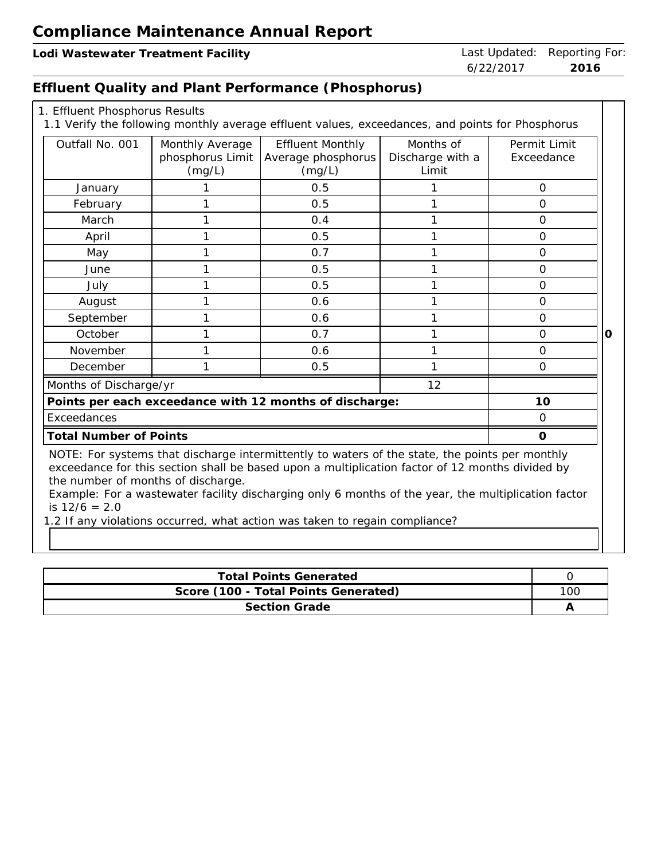**Lodi Wastewater Treatment Facility** Last Updated: Reporting For:

## **Effluent Quality and Plant Performance (Phosphorus)**

| 1. Effluent Phosphorus Results |  |
|--------------------------------|--|
|--------------------------------|--|

| Outfall No. 001                                                                                                                                                                                                                                                                                                                                                   | Monthly Average  | <b>Effluent Monthly</b>                                 | Months of        | Permit Limit   |  |  |  |  |
|-------------------------------------------------------------------------------------------------------------------------------------------------------------------------------------------------------------------------------------------------------------------------------------------------------------------------------------------------------------------|------------------|---------------------------------------------------------|------------------|----------------|--|--|--|--|
|                                                                                                                                                                                                                                                                                                                                                                   | phosphorus Limit | Average phosphorus                                      | Discharge with a | Exceedance     |  |  |  |  |
|                                                                                                                                                                                                                                                                                                                                                                   | (mg/L)           | (mg/L)                                                  | Limit            |                |  |  |  |  |
| January                                                                                                                                                                                                                                                                                                                                                           |                  | 0.5                                                     |                  | $\mathcal{O}$  |  |  |  |  |
| February                                                                                                                                                                                                                                                                                                                                                          |                  | 0.5                                                     |                  | $\Omega$       |  |  |  |  |
| March                                                                                                                                                                                                                                                                                                                                                             |                  | 0.4                                                     |                  | $\mathcal{O}$  |  |  |  |  |
| April                                                                                                                                                                                                                                                                                                                                                             |                  | 0.5                                                     |                  | $\Omega$       |  |  |  |  |
| May                                                                                                                                                                                                                                                                                                                                                               |                  | 0.7                                                     |                  | $\Omega$       |  |  |  |  |
| June                                                                                                                                                                                                                                                                                                                                                              |                  | 0.5                                                     |                  | $\overline{O}$ |  |  |  |  |
| July                                                                                                                                                                                                                                                                                                                                                              |                  | 0.5                                                     |                  | $\mathcal{O}$  |  |  |  |  |
| August                                                                                                                                                                                                                                                                                                                                                            |                  | 0.6                                                     |                  | $\Omega$       |  |  |  |  |
| September                                                                                                                                                                                                                                                                                                                                                         |                  | 0.6                                                     |                  | $\Omega$       |  |  |  |  |
| October                                                                                                                                                                                                                                                                                                                                                           |                  | 0.7                                                     |                  | $\Omega$       |  |  |  |  |
| November                                                                                                                                                                                                                                                                                                                                                          |                  | 0.6                                                     |                  | $\Omega$       |  |  |  |  |
| December                                                                                                                                                                                                                                                                                                                                                          |                  | 0.5                                                     |                  | $\mathcal{O}$  |  |  |  |  |
| Months of Discharge/yr                                                                                                                                                                                                                                                                                                                                            |                  |                                                         | 12               |                |  |  |  |  |
|                                                                                                                                                                                                                                                                                                                                                                   |                  | Points per each exceedance with 12 months of discharge: |                  | 10             |  |  |  |  |
| Exceedances                                                                                                                                                                                                                                                                                                                                                       |                  |                                                         |                  | $\Omega$       |  |  |  |  |
| <b>Total Number of Points</b>                                                                                                                                                                                                                                                                                                                                     |                  |                                                         |                  | $\Omega$       |  |  |  |  |
| NOTE: For systems that discharge intermittently to waters of the state, the points per monthly<br>exceedance for this section shall be based upon a multiplication factor of 12 months divided by<br>the number of months of discharge.<br>Example: For a wastewater facility discharging only 6 months of the year, the multiplication factor<br>is $12/6 = 2.0$ |                  |                                                         |                  |                |  |  |  |  |

1.2 If any violations occurred, what action was taken to regain compliance?

| <b>Total Points Generated</b>        |     |  |  |  |  |
|--------------------------------------|-----|--|--|--|--|
| Score (100 - Total Points Generated) | 10C |  |  |  |  |
| Section Grade                        |     |  |  |  |  |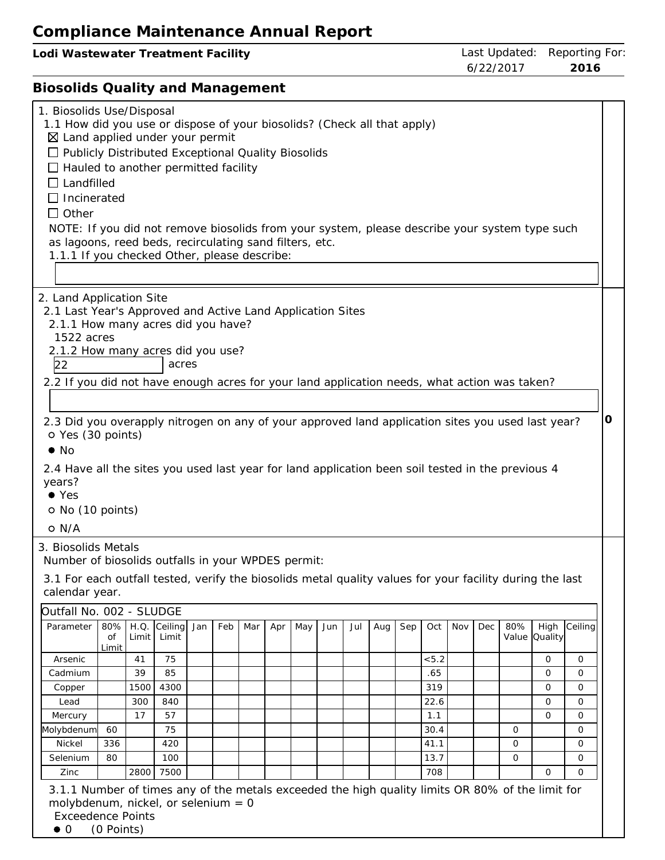| Lodi Wastewater Treatment Facility                                                                                                                                                                                                                                                                                                                                                                                                                                                                                                                                                                    | Last Updated:<br>6/22/2017 |              |                                                                             | Reporting For:<br>2016                  |  |
|-------------------------------------------------------------------------------------------------------------------------------------------------------------------------------------------------------------------------------------------------------------------------------------------------------------------------------------------------------------------------------------------------------------------------------------------------------------------------------------------------------------------------------------------------------------------------------------------------------|----------------------------|--------------|-----------------------------------------------------------------------------|-----------------------------------------|--|
| <b>Biosolids Quality and Management</b>                                                                                                                                                                                                                                                                                                                                                                                                                                                                                                                                                               |                            |              |                                                                             |                                         |  |
| 1. Biosolids Use/Disposal<br>1.1 How did you use or dispose of your biosolids? (Check all that apply)<br>$\boxtimes$ Land applied under your permit<br>□ Publicly Distributed Exceptional Quality Biosolids<br>$\Box$ Hauled to another permitted facility<br>$\Box$ Landfilled<br>$\Box$ Incinerated<br>$\Box$ Other<br>NOTE: If you did not remove biosolids from your system, please describe your system type such<br>as lagoons, reed beds, recirculating sand filters, etc.<br>1.1.1 If you checked Other, please describe:                                                                     |                            |              |                                                                             |                                         |  |
| 2. Land Application Site<br>2.1 Last Year's Approved and Active Land Application Sites<br>2.1.1 How many acres did you have?<br>1522 acres<br>2.1.2 How many acres did you use?<br>22<br>acres<br>2.2 If you did not have enough acres for your land application needs, what action was taken?<br>2.3 Did you overapply nitrogen on any of your approved land application sites you used last year?<br>O Yes (30 points)<br>$\bullet$ No<br>2.4 Have all the sites you used last year for land application been soil tested in the previous 4<br>years?<br>$\bullet$ Yes<br>O No (10 points)<br>o N/A |                            |              |                                                                             | 0                                       |  |
| 3. Biosolids Metals<br>Number of biosolids outfalls in your WPDES permit:<br>3.1 For each outfall tested, verify the biosolids metal quality values for your facility during the last<br>calendar year.<br>Outfall No. 002 - SLUDGE<br>80%<br>Ceiling<br>H.Q.<br>Parameter<br>Jan<br>Feb<br>Mar<br>May<br>Jun<br>Jul<br>Sep<br>Oct<br>Apr<br>Aug<br>Limit<br>Οf<br>Limit<br>Limit<br>75<br>< 5.2<br>Arsenic<br>41<br>39<br>85<br>.65<br>Cadmium<br>1500<br>4300<br>319<br>Copper<br>300<br>840<br>22.6<br>Lead<br>17<br>Mercury<br>57<br>1.1                                                          | Nov<br>Dec                 | 80%<br>Value | High<br><b>Quality</b><br>0<br>$\Omega$<br>$\Omega$<br>$\Omega$<br>$\Omega$ | Ceiling<br>0<br>$\Omega$<br>0<br>0<br>0 |  |
| Molybdenum<br>75<br>30.4<br>60<br>41.1<br>Nickel<br>336<br>420<br>100<br>13.7<br>Selenium<br>80<br>708<br>7500<br>Zinc<br>2800<br>3.1.1 Number of times any of the metals exceeded the high quality limits OR 80% of the limit for<br>molybdenum, nickel, or selenium $= 0$                                                                                                                                                                                                                                                                                                                           |                            | 0<br>0<br>0  | 0                                                                           | 0<br>0<br>0<br>$\Omega$                 |  |

Exceedence Points

 $\bullet$  0 (0 Points)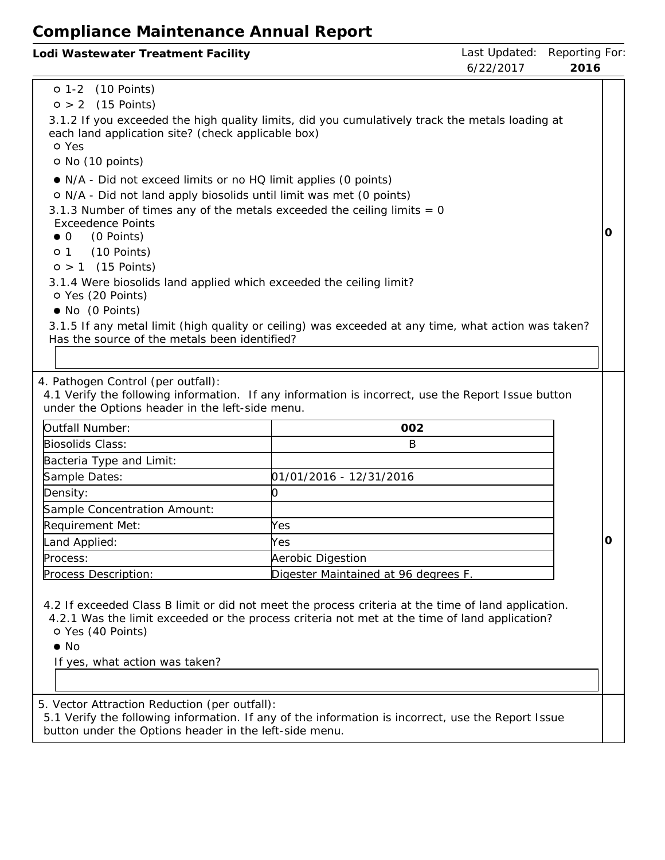| Lodi Wastewater Treatment Facility |           | Last Updated: Reporting For: |
|------------------------------------|-----------|------------------------------|
|                                    | 6/22/2017 | -2016                        |

| o 1-2 (10 Points)                                                                                                                                |                                                                                                                                                                                                      |   |  |  |  |  |
|--------------------------------------------------------------------------------------------------------------------------------------------------|------------------------------------------------------------------------------------------------------------------------------------------------------------------------------------------------------|---|--|--|--|--|
| $0 > 2$ (15 Points)                                                                                                                              |                                                                                                                                                                                                      |   |  |  |  |  |
| 3.1.2 If you exceeded the high quality limits, did you cumulatively track the metals loading at                                                  |                                                                                                                                                                                                      |   |  |  |  |  |
| each land application site? (check applicable box)                                                                                               |                                                                                                                                                                                                      |   |  |  |  |  |
| o Yes<br>O No (10 points)                                                                                                                        |                                                                                                                                                                                                      |   |  |  |  |  |
|                                                                                                                                                  |                                                                                                                                                                                                      |   |  |  |  |  |
| • N/A - Did not exceed limits or no HQ limit applies (0 points)                                                                                  |                                                                                                                                                                                                      |   |  |  |  |  |
| o N/A - Did not land apply biosolids until limit was met (0 points)<br>3.1.3 Number of times any of the metals exceeded the ceiling limits $= 0$ |                                                                                                                                                                                                      |   |  |  |  |  |
| <b>Exceedence Points</b>                                                                                                                         |                                                                                                                                                                                                      |   |  |  |  |  |
| (0 Points)<br>$\bullet$ 0                                                                                                                        |                                                                                                                                                                                                      | O |  |  |  |  |
| (10 Points)<br>$\circ$ 1                                                                                                                         |                                                                                                                                                                                                      |   |  |  |  |  |
| $0 > 1$ (15 Points)                                                                                                                              |                                                                                                                                                                                                      |   |  |  |  |  |
| 3.1.4 Were biosolids land applied which exceeded the ceiling limit?                                                                              |                                                                                                                                                                                                      |   |  |  |  |  |
| O Yes (20 Points)                                                                                                                                |                                                                                                                                                                                                      |   |  |  |  |  |
| • No (0 Points)                                                                                                                                  | 3.1.5 If any metal limit (high quality or ceiling) was exceeded at any time, what action was taken?                                                                                                  |   |  |  |  |  |
| Has the source of the metals been identified?                                                                                                    |                                                                                                                                                                                                      |   |  |  |  |  |
|                                                                                                                                                  |                                                                                                                                                                                                      |   |  |  |  |  |
|                                                                                                                                                  |                                                                                                                                                                                                      |   |  |  |  |  |
| 4. Pathogen Control (per outfall):                                                                                                               |                                                                                                                                                                                                      |   |  |  |  |  |
| under the Options header in the left-side menu.                                                                                                  | 4.1 Verify the following information. If any information is incorrect, use the Report Issue button                                                                                                   |   |  |  |  |  |
| Outfall Number:                                                                                                                                  | 002                                                                                                                                                                                                  |   |  |  |  |  |
| Biosolids Class:                                                                                                                                 | B                                                                                                                                                                                                    |   |  |  |  |  |
| Bacteria Type and Limit:                                                                                                                         |                                                                                                                                                                                                      |   |  |  |  |  |
| Sample Dates:                                                                                                                                    | 01/01/2016 - 12/31/2016                                                                                                                                                                              |   |  |  |  |  |
| Density:                                                                                                                                         | 0                                                                                                                                                                                                    |   |  |  |  |  |
| Sample Concentration Amount:                                                                                                                     |                                                                                                                                                                                                      |   |  |  |  |  |
| Requirement Met:                                                                                                                                 | Yes                                                                                                                                                                                                  |   |  |  |  |  |
| Land Applied:                                                                                                                                    | Yes                                                                                                                                                                                                  | O |  |  |  |  |
| Process:                                                                                                                                         | Aerobic Digestion                                                                                                                                                                                    |   |  |  |  |  |
| Process Description:                                                                                                                             | Digester Maintained at 96 degrees F.                                                                                                                                                                 |   |  |  |  |  |
|                                                                                                                                                  |                                                                                                                                                                                                      |   |  |  |  |  |
|                                                                                                                                                  | 4.2 If exceeded Class B limit or did not meet the process criteria at the time of land application.<br>4.2.1 Was the limit exceeded or the process criteria not met at the time of land application? |   |  |  |  |  |
| O Yes (40 Points)                                                                                                                                |                                                                                                                                                                                                      |   |  |  |  |  |
| $\bullet$ No                                                                                                                                     |                                                                                                                                                                                                      |   |  |  |  |  |
| If yes, what action was taken?                                                                                                                   |                                                                                                                                                                                                      |   |  |  |  |  |
|                                                                                                                                                  |                                                                                                                                                                                                      |   |  |  |  |  |
|                                                                                                                                                  |                                                                                                                                                                                                      |   |  |  |  |  |

5. Vector Attraction Reduction (per outfall):

5.1 Verify the following information. If any of the information is incorrect, use the Report Issue button under the Options header in the left-side menu.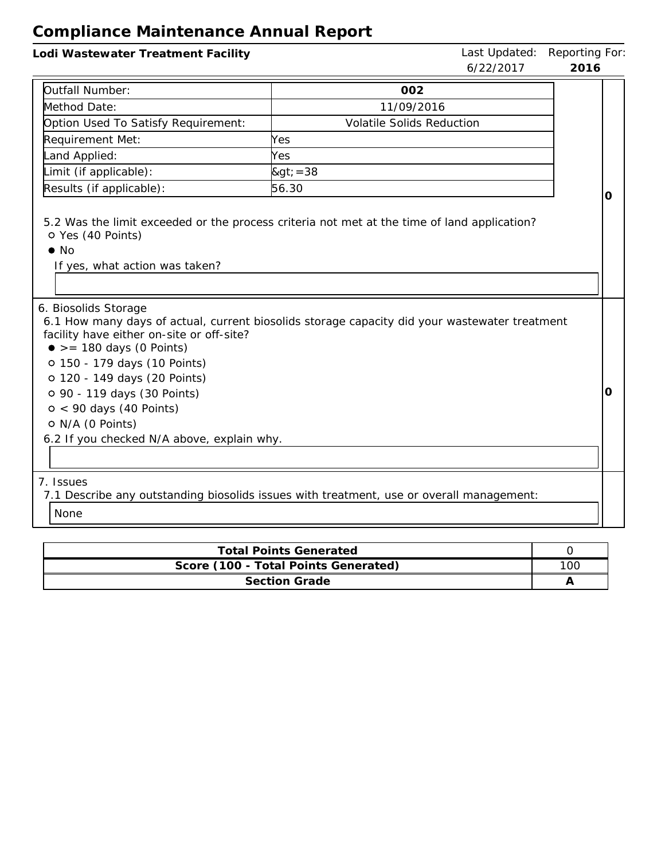| Lodi Wastewater Treatment Facility                                                                                                                                                                                                                                          | Last Updated: Reporting For<br>6/22/2017                                                      | 2016 |   |
|-----------------------------------------------------------------------------------------------------------------------------------------------------------------------------------------------------------------------------------------------------------------------------|-----------------------------------------------------------------------------------------------|------|---|
|                                                                                                                                                                                                                                                                             |                                                                                               |      |   |
| Outfall Number:                                                                                                                                                                                                                                                             | 002                                                                                           |      |   |
| Method Date:                                                                                                                                                                                                                                                                | 11/09/2016                                                                                    |      |   |
| Option Used To Satisfy Requirement:                                                                                                                                                                                                                                         | <b>Volatile Solids Reduction</b>                                                              |      |   |
| Requirement Met:                                                                                                                                                                                                                                                            | Yes                                                                                           |      |   |
| Land Applied:                                                                                                                                                                                                                                                               | Yes                                                                                           |      |   |
| Limit (if applicable):                                                                                                                                                                                                                                                      | $>=38$                                                                                        |      |   |
| Results (if applicable):                                                                                                                                                                                                                                                    | 56.30                                                                                         |      | O |
| o Yes (40 Points)<br>$\bullet$ No<br>If yes, what action was taken?<br>6. Biosolids Storage                                                                                                                                                                                 | 5.2 Was the limit exceeded or the process criteria not met at the time of land application?   |      |   |
| facility have either on-site or off-site?<br>$\bullet$ >= 180 days (0 Points)<br>o 150 - 179 days (10 Points)<br>o 120 - 149 days (20 Points)<br>o 90 - 119 days (30 Points)<br>$0 < 90$ days (40 Points)<br>O N/A (0 Points)<br>6.2 If you checked N/A above, explain why. | 6.1 How many days of actual, current biosolids storage capacity did your wastewater treatment |      | Ο |
| 7. Issues<br>None                                                                                                                                                                                                                                                           | 7.1 Describe any outstanding biosolids issues with treatment, use or overall management:      |      |   |

| <b>Total Points Generated</b>        |     |
|--------------------------------------|-----|
| Score (100 - Total Points Generated) | 100 |
| <b>Section Grade</b>                 |     |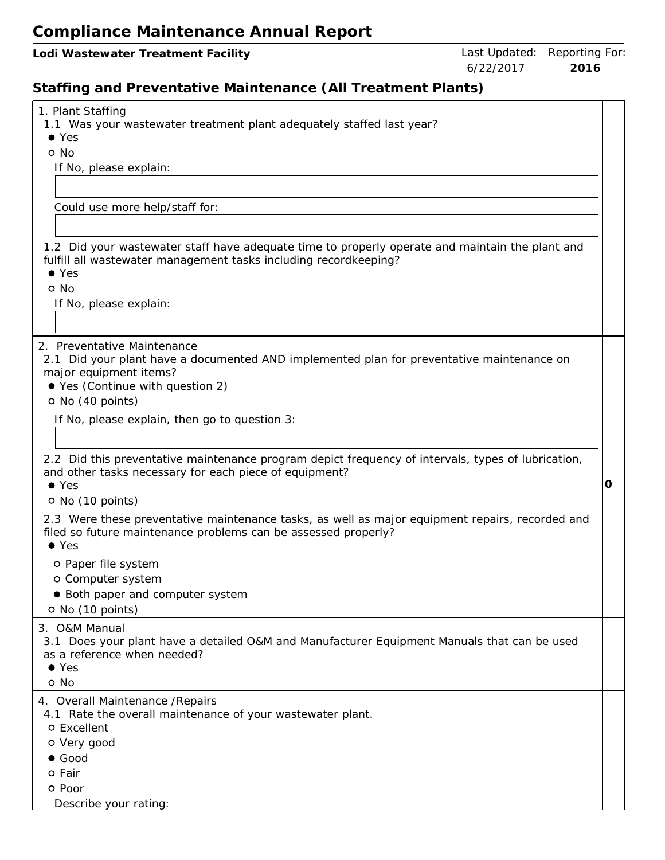| Lodi Wastewater Treatment Facility                                                                                                                                  |           | Last Updated: Reporting For |
|---------------------------------------------------------------------------------------------------------------------------------------------------------------------|-----------|-----------------------------|
|                                                                                                                                                                     | 6/22/2017 | 2016                        |
| Staffing and Preventative Maintenance (All Treatment Plants)                                                                                                        |           |                             |
| 1. Plant Staffing<br>1.1 Was your wastewater treatment plant adequately staffed last year?<br>$\bullet$ Yes                                                         |           |                             |
| o No                                                                                                                                                                |           |                             |
| If No, please explain:                                                                                                                                              |           |                             |
|                                                                                                                                                                     |           |                             |
| Could use more help/staff for:                                                                                                                                      |           |                             |
|                                                                                                                                                                     |           |                             |
|                                                                                                                                                                     |           |                             |
| 1.2 Did your wastewater staff have adequate time to properly operate and maintain the plant and<br>fulfill all wastewater management tasks including recordkeeping? |           |                             |
| $\bullet$ Yes                                                                                                                                                       |           |                             |
| o No                                                                                                                                                                |           |                             |
| If No, please explain:                                                                                                                                              |           |                             |
|                                                                                                                                                                     |           |                             |
| 2. Preventative Maintenance                                                                                                                                         |           |                             |
| 2.1 Did your plant have a documented AND implemented plan for preventative maintenance on                                                                           |           |                             |
| major equipment items?<br>● Yes (Continue with question 2)                                                                                                          |           |                             |
| O No (40 points)                                                                                                                                                    |           |                             |
|                                                                                                                                                                     |           |                             |
| If No, please explain, then go to question 3:                                                                                                                       |           |                             |
|                                                                                                                                                                     |           |                             |
| 2.2 Did this preventative maintenance program depict frequency of intervals, types of lubrication,                                                                  |           |                             |
| and other tasks necessary for each piece of equipment?<br>$\bullet$ Yes                                                                                             |           | O                           |
| O No (10 points)                                                                                                                                                    |           |                             |
|                                                                                                                                                                     |           |                             |

2.3 Were these preventative maintenance tasks, as well as major equipment repairs, recorded and filed so future maintenance problems can be assessed properly?

Yes

- o Paper file system
- o Computer system
- Both paper and computer system

o No (10 points)

3. O&M Manual

3.1 Does your plant have <sup>a</sup> detailed O&M and Manufacturer Equipment Manuals that can be used as a reference when needed?

Yes

o No

4. Overall Maintenance /Repairs

4.1 Rate the overall maintenance of your wastewater plant.

o Excellent

- Very good
- Good

o Fair

o Poor

Describe your rating: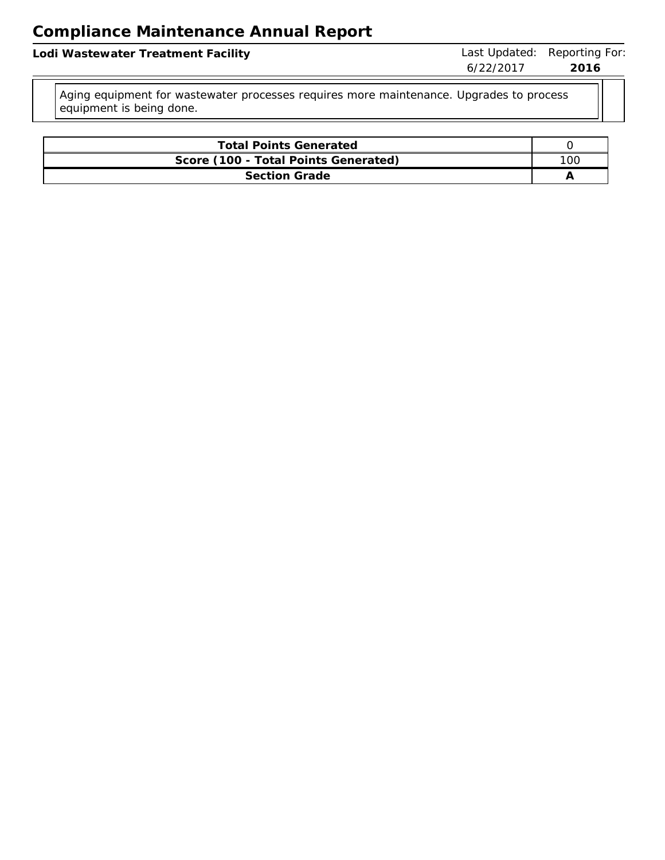Lodi Wastewater Treatment Facility **Last Updated: Reporting For:** Last Updated: Reporting For:

Aging equipment for wastewater processes requires more maintenance. Upgrades to process equipment is being done.

| <b>Total Points Generated</b>        |     |  |  |  |  |
|--------------------------------------|-----|--|--|--|--|
| Score (100 - Total Points Generated) | 10C |  |  |  |  |
| Section Grade                        |     |  |  |  |  |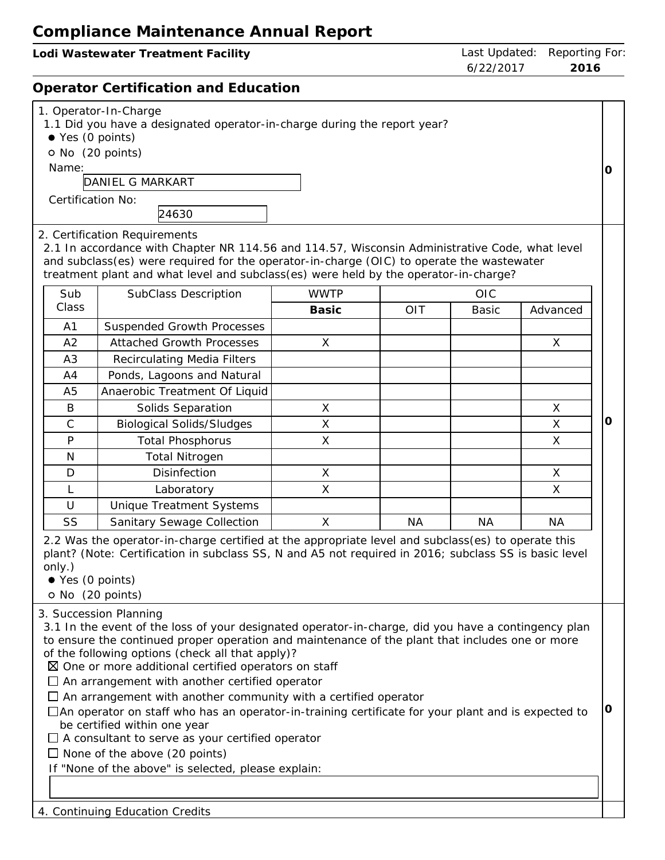| Lodi Wastewater Treatment Facility   |           | Last Updated: Reporting For: |
|--------------------------------------|-----------|------------------------------|
|                                      | 6/22/2017 | 2016                         |
| Operator Certification and Education |           |                              |
| 1. Operator-In-Charge                |           |                              |

**0**

|  |  |  | 1.1 Did you have a designated operator-in-charge during the report year? |  |  |  |  |
|--|--|--|--------------------------------------------------------------------------|--|--|--|--|

- Yes (0 points)
- No (20 points)

Name:

DANIEL G MARKART

24630

Certification No:

2. Certification Requirements 2.1 In accordance with Chapter NR 114.56 and 114.57, Wisconsin Administrative Code, what level and subclass(es) were required for the operator-in-charge (OIC) to operate the wastewater

treatment plant and what level and subclass(es) were held by the operator-in-charge?

| Sub            | <b>SubClass Description</b>        | <b>WWTP</b> |            | <b>OIC</b> |          |
|----------------|------------------------------------|-------------|------------|------------|----------|
| Class          |                                    | Basic       | <b>OIT</b> | Basic      | Advanced |
| A <sub>1</sub> | Suspended Growth Processes         |             |            |            |          |
| A2             | <b>Attached Growth Processes</b>   | X           |            |            | X        |
| A3             | <b>Recirculating Media Filters</b> |             |            |            |          |
| A4             | Ponds, Lagoons and Natural         |             |            |            |          |
| A5             | Anaerobic Treatment Of Liquid      |             |            |            |          |
| B              | Solids Separation                  | X           |            |            | X        |
| C              | <b>Biological Solids/Sludges</b>   | X           |            |            | X        |
| P              | <b>Total Phosphorus</b>            | X           |            |            | X        |
| N              | <b>Total Nitrogen</b>              |             |            |            |          |
| D              | <b>Disinfection</b>                | X           |            |            | X        |
|                | Laboratory                         | X           |            |            | X        |
| U              | <b>Unique Treatment Systems</b>    |             |            |            |          |
| SS             | Sanitary Sewage Collection         | X           | ΝA         | ΝA         | NA.      |

2.2 Was the operator-in-charge certified at the appropriate level and subclass(es) to operate this plant? (Note: Certification in subclass SS, N and A5 not required in 2016; subclass SS is basic level only.)

- Yes (0 points)
- o No (20 points)

3. Succession Planning

3.1 In the event of the loss of your designated operator-in-charge, did you have <sup>a</sup> contingency plan to ensure the continued proper operation and maintenance of the plant that includes one or more of the following options (check all that apply)?

 $\boxtimes$  One or more additional certified operators on staff

 $\Box$  An arrangement with another certified operator

 $\Box$  An arrangement with another community with a certified operator

An operator on staff who has an operator-in-training certificate for your plant and is expected to be certified within one year **0**

 $\Box$  A consultant to serve as your certified operator

 $\Box$  None of the above (20 points)

If "None of the above" is selected, please explain:

4. Continuing Education Credits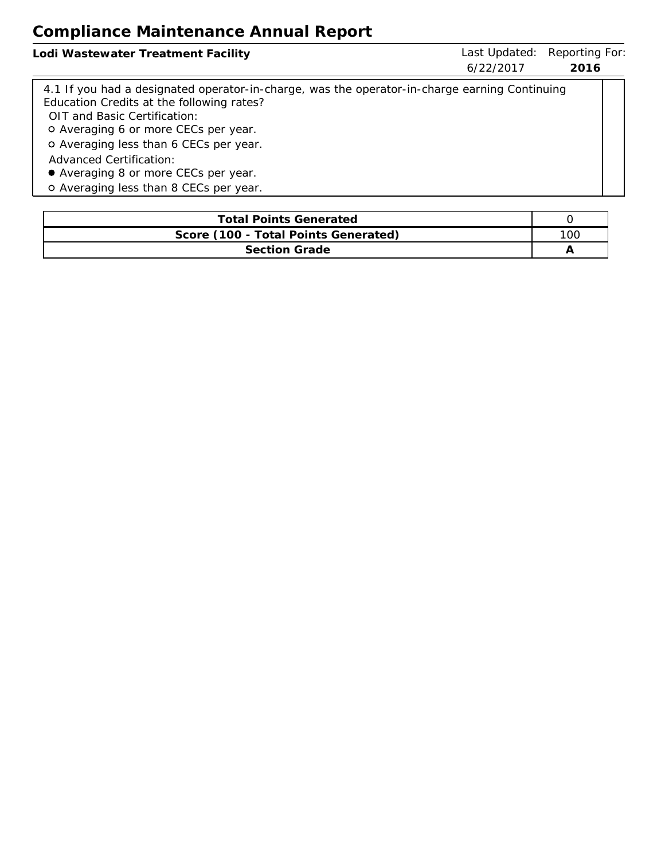| Lodi Wastewater Treatment Facility                                                            | Last Updated: | Reporting For: |
|-----------------------------------------------------------------------------------------------|---------------|----------------|
|                                                                                               | 6/22/2017     | 2016           |
| 4.1 If you had a designated operator-in-charge, was the operator-in-charge earning Continuing |               |                |
| Education Credits at the following rates?                                                     |               |                |
| OIT and Basic Certification:                                                                  |               |                |
| o Averaging 6 or more CECs per year.                                                          |               |                |
| o Averaging less than 6 CECs per year.                                                        |               |                |
| <b>Advanced Certification:</b>                                                                |               |                |
| • Averaging 8 or more CECs per year.                                                          |               |                |
| o Averaging less than 8 CECs per year.                                                        |               |                |

| <b>Total Points Generated</b>        |  |  |
|--------------------------------------|--|--|
| Score (100 - Total Points Generated) |  |  |
| <b>Section Grade</b>                 |  |  |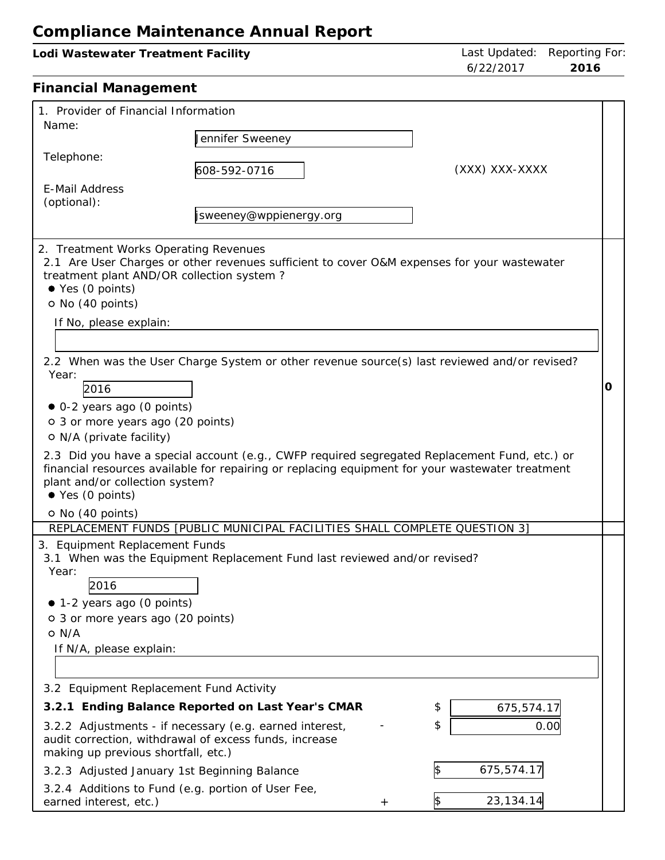| Lodi Wastewater Treatment Facility                                                                                                                                                                                                                                   | Last Updated: Reporting For<br>6/22/2017<br>2016                                                                                                                                                                                                                                                                                                                                                 |                  |   |
|----------------------------------------------------------------------------------------------------------------------------------------------------------------------------------------------------------------------------------------------------------------------|--------------------------------------------------------------------------------------------------------------------------------------------------------------------------------------------------------------------------------------------------------------------------------------------------------------------------------------------------------------------------------------------------|------------------|---|
| <b>Financial Management</b>                                                                                                                                                                                                                                          |                                                                                                                                                                                                                                                                                                                                                                                                  |                  |   |
| 1. Provider of Financial Information<br>Name:                                                                                                                                                                                                                        |                                                                                                                                                                                                                                                                                                                                                                                                  |                  |   |
|                                                                                                                                                                                                                                                                      | Jennifer Sweeney                                                                                                                                                                                                                                                                                                                                                                                 |                  |   |
| Telephone:                                                                                                                                                                                                                                                           | 608-592-0716                                                                                                                                                                                                                                                                                                                                                                                     | (XXX) XXX-XXXX   |   |
| <b>E-Mail Address</b><br>(optional):                                                                                                                                                                                                                                 |                                                                                                                                                                                                                                                                                                                                                                                                  |                  |   |
|                                                                                                                                                                                                                                                                      | jsweeney@wppienergy.org                                                                                                                                                                                                                                                                                                                                                                          |                  |   |
| 2. Treatment Works Operating Revenues<br>treatment plant AND/OR collection system?<br>● Yes (0 points)<br>O No (40 points)<br>If No, please explain:<br>Year:<br>2016<br>· 0-2 years ago (0 points)<br>o 3 or more years ago (20 points)<br>O N/A (private facility) | 2.1 Are User Charges or other revenues sufficient to cover O&M expenses for your wastewater<br>2.2 When was the User Charge System or other revenue source(s) last reviewed and/or revised?<br>2.3 Did you have a special account (e.g., CWFP required segregated Replacement Fund, etc.) or<br>financial resources available for repairing or replacing equipment for your wastewater treatment |                  | O |
| plant and/or collection system?<br>● Yes (0 points)                                                                                                                                                                                                                  |                                                                                                                                                                                                                                                                                                                                                                                                  |                  |   |
| O No (40 points)                                                                                                                                                                                                                                                     | REPLACEMENT FUNDS [PUBLIC MUNICIPAL FACILITIES SHALL COMPLETE QUESTION 3]                                                                                                                                                                                                                                                                                                                        |                  |   |
| 3. Equipment Replacement Funds<br>Year:<br>2016<br>• 1-2 years ago (0 points)<br>o 3 or more years ago (20 points)<br>$O$ N/A<br>If N/A, please explain:                                                                                                             | 3.1 When was the Equipment Replacement Fund last reviewed and/or revised?                                                                                                                                                                                                                                                                                                                        |                  |   |
| 3.2 Equipment Replacement Fund Activity                                                                                                                                                                                                                              |                                                                                                                                                                                                                                                                                                                                                                                                  |                  |   |
|                                                                                                                                                                                                                                                                      | 3.2.1 Ending Balance Reported on Last Year's CMAR                                                                                                                                                                                                                                                                                                                                                | \$<br>675,574.1  |   |
| making up previous shortfall, etc.)                                                                                                                                                                                                                                  | 3.2.2 Adjustments - if necessary (e.g. earned interest,<br>audit correction, withdrawal of excess funds, increase                                                                                                                                                                                                                                                                                | \$<br>0.00       |   |
| 3.2.3 Adjusted January 1st Beginning Balance                                                                                                                                                                                                                         |                                                                                                                                                                                                                                                                                                                                                                                                  | 675,574.17<br>\$ |   |
|                                                                                                                                                                                                                                                                      | 3.2.4 Additions to Fund (e.g. portion of User Fee.                                                                                                                                                                                                                                                                                                                                               |                  |   |

| 3.2.4 Additions to Fund (e.g. portion of User Fee, |  |  |  |
|----------------------------------------------------|--|--|--|
| earned interest, etc.)                             |  |  |  |

 $+$  \$ 23,134.14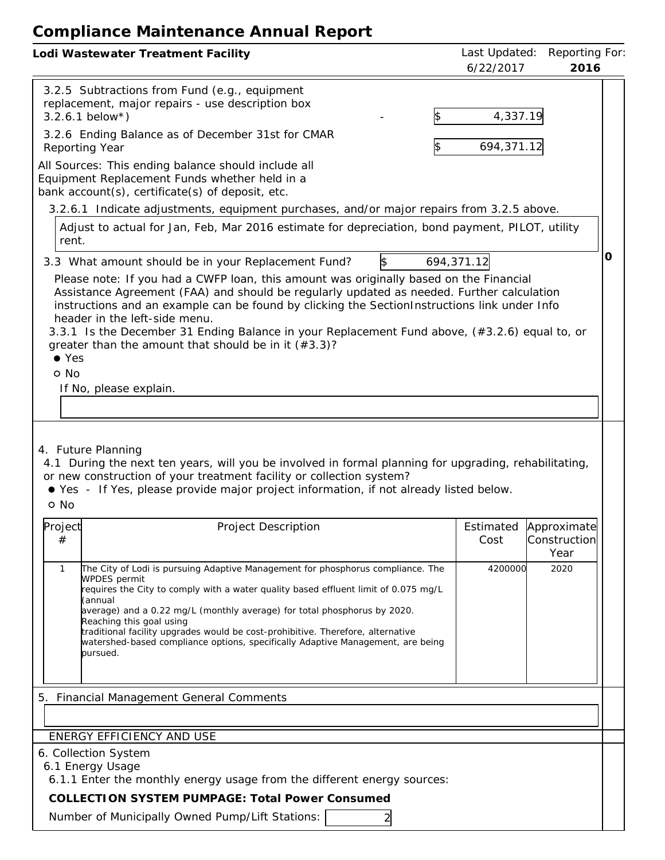| Lodi Wastewater Treatment Facility                                                                                                                                                                                                                                                                                                                                                                                                                                                                                                                                                                                                                                                                                                                                                                                                                                                                                                                                                                                                                                                                                                                                                     | Last Updated:<br>6/22/2017 | Reporting For<br>2016                       |   |
|----------------------------------------------------------------------------------------------------------------------------------------------------------------------------------------------------------------------------------------------------------------------------------------------------------------------------------------------------------------------------------------------------------------------------------------------------------------------------------------------------------------------------------------------------------------------------------------------------------------------------------------------------------------------------------------------------------------------------------------------------------------------------------------------------------------------------------------------------------------------------------------------------------------------------------------------------------------------------------------------------------------------------------------------------------------------------------------------------------------------------------------------------------------------------------------|----------------------------|---------------------------------------------|---|
| 3.2.5 Subtractions from Fund (e.g., equipment<br>replacement, major repairs - use description box<br>$3.2.6.1$ below*)<br>3.2.6 Ending Balance as of December 31st for CMAR<br>Reporting Year<br>All Sources: This ending balance should include all<br>Equipment Replacement Funds whether held in a<br>bank account(s), certificate(s) of deposit, etc.<br>3.2.6.1 Indicate adjustments, equipment purchases, and/or major repairs from 3.2.5 above.<br>Adjust to actual for Jan, Feb, Mar 2016 estimate for depreciation, bond payment, PILOT, utility<br>rent.<br>3.3 What amount should be in your Replacement Fund?<br>\$<br>694, 371. 12<br>Please note: If you had a CWFP loan, this amount was originally based on the Financial<br>Assistance Agreement (FAA) and should be regularly updated as needed. Further calculation<br>instructions and an example can be found by clicking the SectionInstructions link under Info<br>header in the left-side menu.<br>3.3.1 Is the December 31 Ending Balance in your Replacement Fund above, (#3.2.6) equal to, or<br>greater than the amount that should be in it $(*3.3)$ ?<br>$\bullet$ Yes<br>o No<br>If No, please explain. | 4,337.19<br>694,371.12     |                                             | 0 |
| 4. Future Planning<br>4.1 During the next ten years, will you be involved in formal planning for upgrading, rehabilitating,<br>or new construction of your treatment facility or collection system?<br>● Yes - If Yes, please provide major project information, if not already listed below.<br>o No                                                                                                                                                                                                                                                                                                                                                                                                                                                                                                                                                                                                                                                                                                                                                                                                                                                                                  |                            |                                             |   |
| Project<br>Estimated<br>Project Description<br>$^{\#}$<br>Cost<br>The City of Lodi is pursuing Adaptive Management for phosphorus compliance. The<br>$\mathbf{1}$<br><b>WPDES</b> permit<br>requires the City to comply with a water quality based effluent limit of 0.075 mg/L<br>(annual<br>average) and a 0.22 mg/L (monthly average) for total phosphorus by 2020.<br>Reaching this goal using<br>traditional facility upgrades would be cost-prohibitive. Therefore, alternative<br>watershed-based compliance options, specifically Adaptive Management, are being<br>pursued.                                                                                                                                                                                                                                                                                                                                                                                                                                                                                                                                                                                                   | 4200000                    | Approximate<br>Construction<br>Year<br>2020 |   |
| <b>Financial Management General Comments</b><br>5.                                                                                                                                                                                                                                                                                                                                                                                                                                                                                                                                                                                                                                                                                                                                                                                                                                                                                                                                                                                                                                                                                                                                     |                            |                                             |   |
| ENERGY EFFICIENCY AND USE<br>6. Collection System<br>6.1 Energy Usage<br>6.1.1 Enter the monthly energy usage from the different energy sources:<br>COLLECTION SYSTEM PUMPAGE: Total Power Consumed<br>Number of Municipally Owned Pump/Lift Stations:                                                                                                                                                                                                                                                                                                                                                                                                                                                                                                                                                                                                                                                                                                                                                                                                                                                                                                                                 |                            |                                             |   |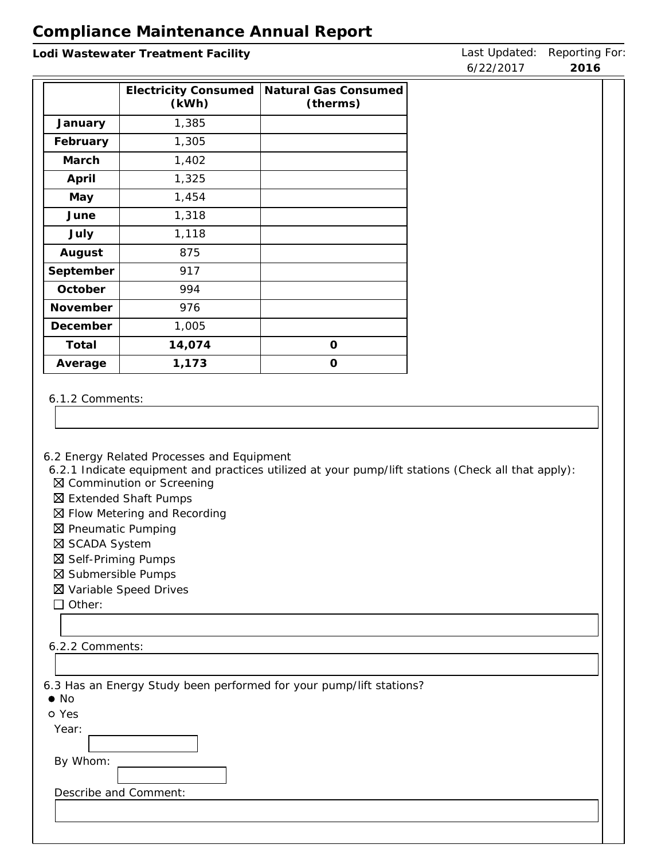| Lodi Wastewater Treatment Facility                                                   |                                                                                    |                                                                                                    | Last Updated:<br>6/22/2017 | Reporting For:<br>2016 |
|--------------------------------------------------------------------------------------|------------------------------------------------------------------------------------|----------------------------------------------------------------------------------------------------|----------------------------|------------------------|
|                                                                                      | <b>Electricity Consumed</b><br>(kWh)                                               | Natural Gas Consumed<br>(therms)                                                                   |                            |                        |
| January                                                                              | 1,385                                                                              |                                                                                                    |                            |                        |
| February                                                                             | 1,305                                                                              |                                                                                                    |                            |                        |
| March                                                                                | 1,402                                                                              |                                                                                                    |                            |                        |
| April                                                                                | 1,325                                                                              |                                                                                                    |                            |                        |
| May                                                                                  | 1,454                                                                              |                                                                                                    |                            |                        |
| June                                                                                 | 1,318                                                                              |                                                                                                    |                            |                        |
| July                                                                                 | 1,118                                                                              |                                                                                                    |                            |                        |
| August                                                                               | 875                                                                                |                                                                                                    |                            |                        |
| September                                                                            | 917                                                                                |                                                                                                    |                            |                        |
| October                                                                              | 994                                                                                |                                                                                                    |                            |                        |
| November                                                                             | 976                                                                                |                                                                                                    |                            |                        |
| December                                                                             | 1,005                                                                              |                                                                                                    |                            |                        |
| Total                                                                                | 14,074                                                                             | $\circ$                                                                                            |                            |                        |
| Average                                                                              | 1,173                                                                              | $\mathsf O$                                                                                        |                            |                        |
| 6.1.2 Comments:                                                                      | 6.2 Energy Related Processes and Equipment<br>⊠ Comminution or Screening           | 6.2.1 Indicate equipment and practices utilized at your pump/lift stations (Check all that apply): |                            |                        |
| ⊠ Pneumatic Pumping<br>⊠ SCADA System<br>⊠ Self-Priming Pumps<br>⊠ Submersible Pumps | ⊠ Extended Shaft Pumps<br>⊠ Flow Metering and Recording<br>⊠ Variable Speed Drives |                                                                                                    |                            |                        |
| $\Box$ Other:                                                                        |                                                                                    |                                                                                                    |                            |                        |
|                                                                                      |                                                                                    |                                                                                                    |                            |                        |
| 6.2.2 Comments:                                                                      |                                                                                    |                                                                                                    |                            |                        |
|                                                                                      |                                                                                    |                                                                                                    |                            |                        |
|                                                                                      |                                                                                    | 6.3 Has an Energy Study been performed for your pump/lift stations?                                |                            |                        |
| $\bullet$ No<br>o Yes                                                                |                                                                                    |                                                                                                    |                            |                        |
| Year:                                                                                |                                                                                    |                                                                                                    |                            |                        |
|                                                                                      |                                                                                    |                                                                                                    |                            |                        |
| By Whom:                                                                             |                                                                                    |                                                                                                    |                            |                        |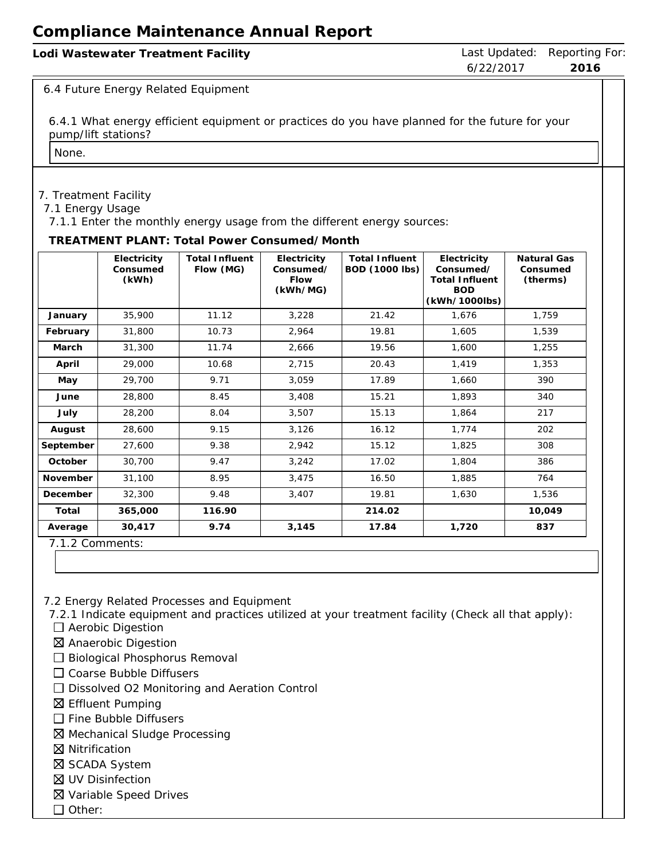| Lodi Wastewater Treatment Facility |           | Last Updated: Reporting For: |
|------------------------------------|-----------|------------------------------|
|                                    | 6/22/2017 | 2016                         |

#### 6.4 Future Energy Related Equipment

6.4.1 What energy efficient equipment or practices do you have planned for the future for your pump/lift stations?

None.

#### 7. Treatment Facility

7.1 Energy Usage

7.1.1 Enter the monthly energy usage from the different energy sources:

#### **TREATMENT PLANT: Total Power Consumed/Month**

|           | Electricity<br>Consumed<br>(kWh) | <b>Total Influent</b><br>Flow (MG) | Electricity<br>Consumed/<br>Flow<br>(kWh/MG) | <b>Total Influent</b><br><b>BOD (1000 lbs)</b> | Electricity<br>Consumed/<br><b>Total Influent</b><br><b>BOD</b><br>(kWh/1000lbs) | Natural Gas<br>Consumed<br>(therms) |
|-----------|----------------------------------|------------------------------------|----------------------------------------------|------------------------------------------------|----------------------------------------------------------------------------------|-------------------------------------|
| January   | 35,900                           | 11.12                              | 3,228                                        | 21.42                                          | 1,676                                                                            | 1,759                               |
| February  | 31,800                           | 10.73                              | 2,964                                        | 19.81                                          | 1,605                                                                            | 1,539                               |
| March     | 31,300                           | 11.74                              | 2,666                                        | 19.56                                          | 1,600                                                                            | 1,255                               |
| April     | 29,000                           | 10.68                              | 2,715                                        | 20.43                                          | 1,419                                                                            | 1,353                               |
| May       | 29,700                           | 9.71                               | 3,059                                        | 17.89                                          | 1,660                                                                            | 390                                 |
| June      | 28,800                           | 8.45                               | 3,408                                        | 15.21                                          | 1,893                                                                            | 340                                 |
| July      | 28,200                           | 8.04                               | 3,507                                        | 15.13                                          | 1,864                                                                            | 217                                 |
| August    | 28,600                           | 9.15                               | 3,126                                        | 16.12                                          | 1,774                                                                            | 202                                 |
| September | 27,600                           | 9.38                               | 2,942                                        | 15.12                                          | 1,825                                                                            | 308                                 |
| October   | 30,700                           | 9.47                               | 3,242                                        | 17.02                                          | 1,804                                                                            | 386                                 |
| November  | 31,100                           | 8.95                               | 3,475                                        | 16.50                                          | 1,885                                                                            | 764                                 |
| December  | 32,300                           | 9.48                               | 3,407                                        | 19.81                                          | 1,630                                                                            | 1,536                               |
| Total     | 365,000                          | 116.90                             |                                              | 214.02                                         |                                                                                  | 10,049                              |
| Average   | 30,417                           | 9.74                               | 3,145                                        | 17.84                                          | 1,720                                                                            | 837                                 |

7.1.2 Comments:

7.2 Energy Related Processes and Equipment

7.2.1 Indicate equipment and practices utilized at your treatment facility (Check all that apply):

- □ Aerobic Digestion
- Anaerobic Digestion
- $\square$  Biological Phosphorus Removal
- $\Box$  Coarse Bubble Diffusers
- □ Dissolved O2 Monitoring and Aeration Control
- Effluent Pumping
- $\Box$  Fine Bubble Diffusers
- Mechanical Sludge Processing
- **区** Nitrification
- **⊠ SCADA System**
- UV Disinfection
- Variable Speed Drives
- $\Box$  Other: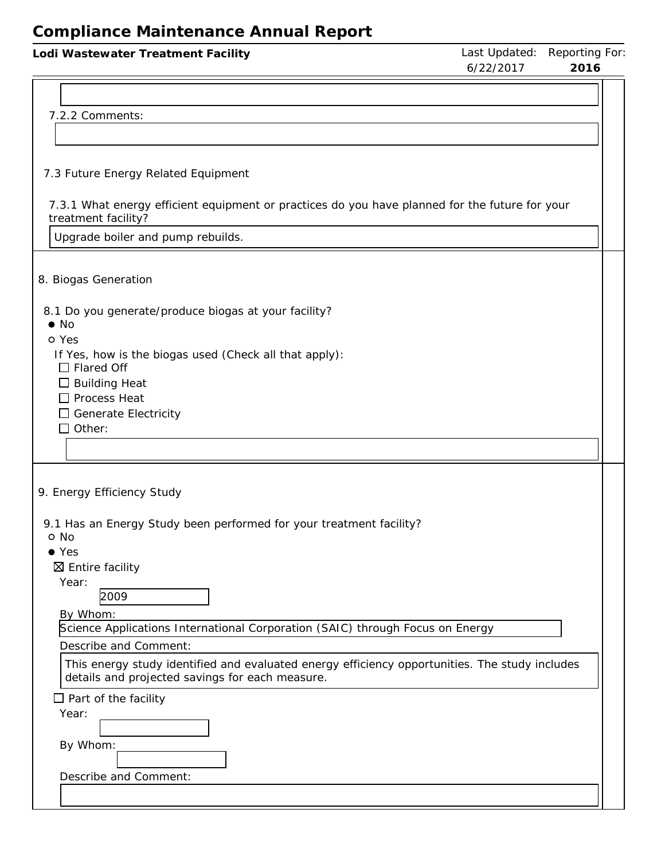| Lodi Wastewater Treatment Facility                                                                                                                                         | 6/22/2017 | Last Updated: Reporting For:<br>2016 |
|----------------------------------------------------------------------------------------------------------------------------------------------------------------------------|-----------|--------------------------------------|
| 7.2.2 Comments:                                                                                                                                                            |           |                                      |
| 7.3 Future Energy Related Equipment                                                                                                                                        |           |                                      |
| 7.3.1 What energy efficient equipment or practices do you have planned for the future for your<br>treatment facility?<br>Upgrade boiler and pump rebuilds.                 |           |                                      |
|                                                                                                                                                                            |           |                                      |
| 8. Biogas Generation                                                                                                                                                       |           |                                      |
| 8.1 Do you generate/produce biogas at your facility?<br>$\bullet$ No                                                                                                       |           |                                      |
| o Yes<br>If Yes, how is the biogas used (Check all that apply):<br>$\Box$ Flared Off<br>$\Box$ Building Heat<br>$\Box$ Process Heat                                        |           |                                      |
| $\Box$ Generate Electricity<br>$\square$ Other:                                                                                                                            |           |                                      |
| 9. Energy Efficiency Study                                                                                                                                                 |           |                                      |
| 9.1 Has an Energy Study been performed for your treatment facility?<br>o No<br>$\bullet$ Yes<br>$\boxtimes$ Entire facility                                                |           |                                      |
| Year:<br>2009<br>By Whom:                                                                                                                                                  |           |                                      |
| Science Applications International Corporation (SAIC) through Focus on Energy                                                                                              |           |                                      |
| Describe and Comment:<br>This energy study identified and evaluated energy efficiency opportunities. The study includes<br>details and projected savings for each measure. |           |                                      |
| $\Box$ Part of the facility<br>Year:                                                                                                                                       |           |                                      |
| By Whom:                                                                                                                                                                   |           |                                      |
| Describe and Comment:                                                                                                                                                      |           |                                      |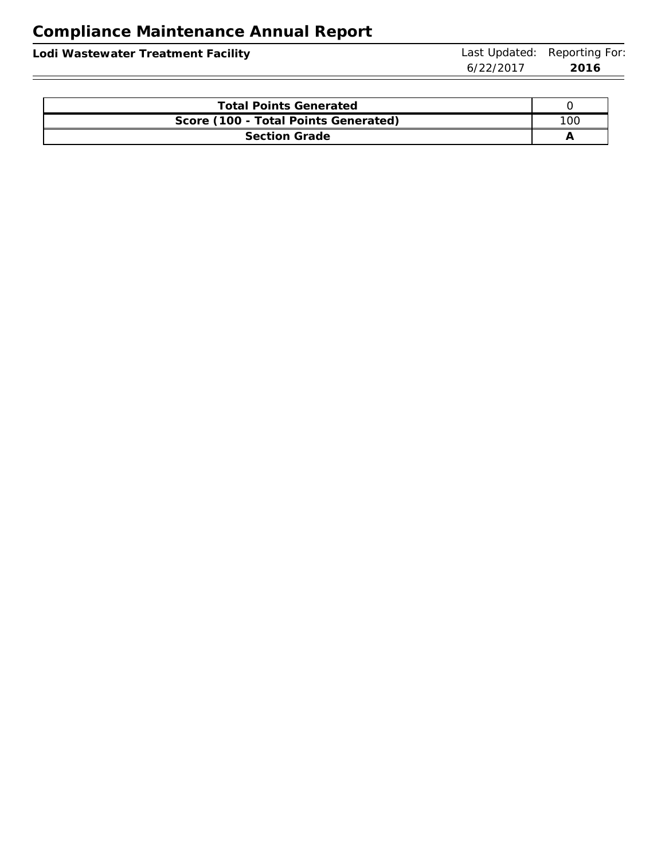| Lodi Wastewater Treatment Facility |           | Last Updated: Reporting For: |
|------------------------------------|-----------|------------------------------|
|                                    | 6/22/2017 | -2016                        |
|                                    |           |                              |

| <b>Total Points Generated</b>        |  |  |
|--------------------------------------|--|--|
| Score (100 - Total Points Generated) |  |  |
| <b>Section Grade</b>                 |  |  |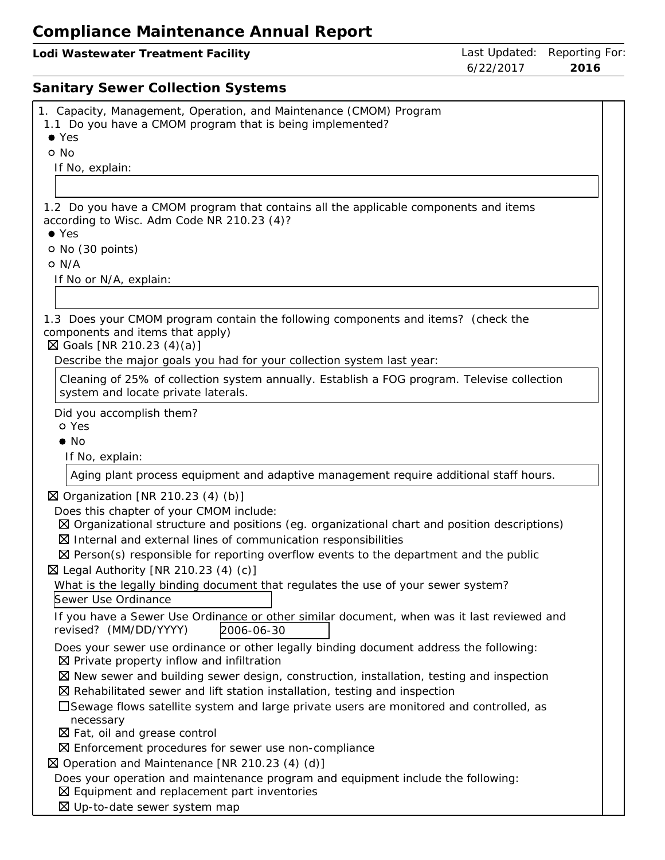| odi Wastewater Treatment Facility |  |
|-----------------------------------|--|
|-----------------------------------|--|

# **Sanitary Sewer Collection Systems**

| 1. Capacity, Management, Operation, and Maintenance (CMOM) Program                                                                                                            |
|-------------------------------------------------------------------------------------------------------------------------------------------------------------------------------|
|                                                                                                                                                                               |
| 1.1 Do you have a CMOM program that is being implemented?                                                                                                                     |
| $\bullet$ Yes                                                                                                                                                                 |
| o No                                                                                                                                                                          |
| If No, explain:                                                                                                                                                               |
|                                                                                                                                                                               |
| 1.2 Do you have a CMOM program that contains all the applicable components and items                                                                                          |
| according to Wisc. Adm Code NR 210.23 (4)?                                                                                                                                    |
| $\bullet$ Yes                                                                                                                                                                 |
| O No (30 points)                                                                                                                                                              |
| O N/A                                                                                                                                                                         |
| If No or N/A, explain:                                                                                                                                                        |
|                                                                                                                                                                               |
| 1.3 Does your CMOM program contain the following components and items? (check the                                                                                             |
| components and items that apply)                                                                                                                                              |
| $\boxtimes$ Goals [NR 210.23 (4)(a)]                                                                                                                                          |
| Describe the major goals you had for your collection system last year:                                                                                                        |
| Cleaning of 25% of collection system annually. Establish a FOG program. Televise collection                                                                                   |
| system and locate private laterals.                                                                                                                                           |
| Did you accomplish them?                                                                                                                                                      |
| o Yes                                                                                                                                                                         |
| $\bullet$ No                                                                                                                                                                  |
| If No, explain:                                                                                                                                                               |
| Aging plant process equipment and adaptive management require additional staff hours.                                                                                         |
|                                                                                                                                                                               |
| $\boxtimes$ Organization [NR 210.23 (4) (b)]                                                                                                                                  |
| Does this chapter of your CMOM include:                                                                                                                                       |
| $\boxtimes$ Organizational structure and positions (eg. organizational chart and position descriptions)                                                                       |
| $\boxtimes$ Internal and external lines of communication responsibilities<br>$\boxtimes$ Person(s) responsible for reporting overflow events to the department and the public |
|                                                                                                                                                                               |
| $\boxtimes$ Legal Authority [NR 210.23 (4) (c)]                                                                                                                               |
| What is the legally binding document that regulates the use of your sewer system?<br>Sewer Use Ordinance                                                                      |
|                                                                                                                                                                               |
| If you have a Sewer Use Ordinance or other similar document, when was it last reviewed and<br>revised? (MM/DD/YYYY)<br>2006-06-30                                             |
| Does your sewer use ordinance or other legally binding document address the following:                                                                                        |
| $\boxtimes$ Private property inflow and infiltration                                                                                                                          |
| $\boxtimes$ New sewer and building sewer design, construction, installation, testing and inspection                                                                           |
| $\boxtimes$ Rehabilitated sewer and lift station installation, testing and inspection                                                                                         |
| $\Box$ Sewage flows satellite system and large private users are monitored and controlled, as                                                                                 |
| necessary                                                                                                                                                                     |
| $\boxtimes$ Fat, oil and grease control                                                                                                                                       |
| $\boxtimes$ Enforcement procedures for sewer use non-compliance                                                                                                               |
| $\boxtimes$ Operation and Maintenance [NR 210.23 (4) (d)]                                                                                                                     |
| Does your operation and maintenance program and equipment include the following:                                                                                              |
| $\boxtimes$ Equipment and replacement part inventories                                                                                                                        |
| ⊠ Up-to-date sewer system map                                                                                                                                                 |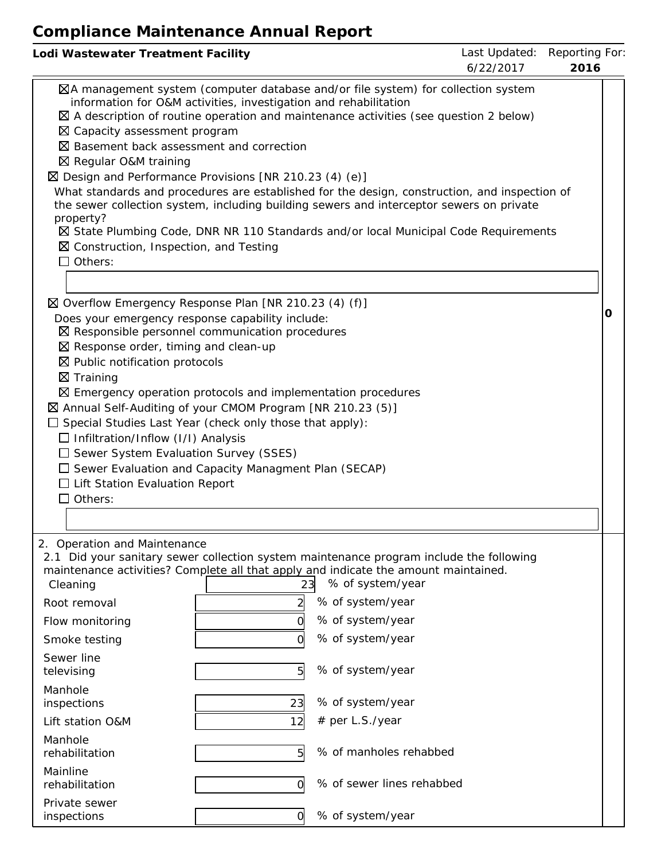| Lodi Wastewater Treatment Facility                                                                                                                                                                                                                                                                                                                                                                                                                                                                                                                                                                                                                                                                                                   | Last Updated:<br>Reporting For:<br>6/22/2017<br>2016                                                                                                                                                               |   |
|--------------------------------------------------------------------------------------------------------------------------------------------------------------------------------------------------------------------------------------------------------------------------------------------------------------------------------------------------------------------------------------------------------------------------------------------------------------------------------------------------------------------------------------------------------------------------------------------------------------------------------------------------------------------------------------------------------------------------------------|--------------------------------------------------------------------------------------------------------------------------------------------------------------------------------------------------------------------|---|
| ⊠A management system (computer database and/or file system) for collection system<br>information for O&M activities, investigation and rehabilitation<br>$\boxtimes$ A description of routine operation and maintenance activities (see question 2 below)<br>⊠ Capacity assessment program<br>⊠ Basement back assessment and correction<br>⊠ Regular O&M training<br>$\boxtimes$ Design and Performance Provisions [NR 210.23 (4) (e)]<br>the sewer collection system, including building sewers and interceptor sewers on private<br>property?<br>⊠ State Plumbing Code, DNR NR 110 Standards and/or local Municipal Code Requirements<br>$\boxtimes$ Construction, Inspection, and Testing<br>$\Box$ Others:                       | What standards and procedures are established for the design, construction, and inspection of                                                                                                                      |   |
| ⊠ Overflow Emergency Response Plan [NR 210.23 (4) (f)]<br>Does your emergency response capability include:<br>$\boxtimes$ Responsible personnel communication procedures<br>$\boxtimes$ Response order, timing and clean-up<br>$\boxtimes$ Public notification protocols<br>$\boxtimes$ Training<br>$\boxtimes$ Emergency operation protocols and implementation procedures<br>⊠ Annual Self-Auditing of your CMOM Program [NR 210.23 (5)]<br>$\Box$ Special Studies Last Year (check only those that apply):<br>$\Box$ Infiltration/Inflow (I/I) Analysis<br>$\Box$ Sewer System Evaluation Survey (SSES)<br>$\Box$ Sewer Evaluation and Capacity Managment Plan (SECAP)<br>$\Box$ Lift Station Evaluation Report<br>$\Box$ Others: |                                                                                                                                                                                                                    | O |
| 2. Operation and Maintenance<br>2.1 Did your sanitary sewer collection system maintenance program include the following<br>maintenance activities? Complete all that apply and indicate the amount maintained.<br>Cleaning<br>23<br>Root removal<br>Flow monitoring<br>Smoke testing<br>Sewer line<br>5<br>televising<br>Manhole<br>23<br>inspections<br>Lift station O&M<br>12<br>Manhole<br>5<br>rehabilitation<br>Mainline<br>rehabilitation<br>0<br>Private sewer<br>inspections<br>0                                                                                                                                                                                                                                            | % of system/year<br>% of system/year<br>% of system/year<br>% of system/year<br>% of system/year<br>% of system/year<br># per L.S./year<br>% of manholes rehabbed<br>% of sewer lines rehabbed<br>% of system/year |   |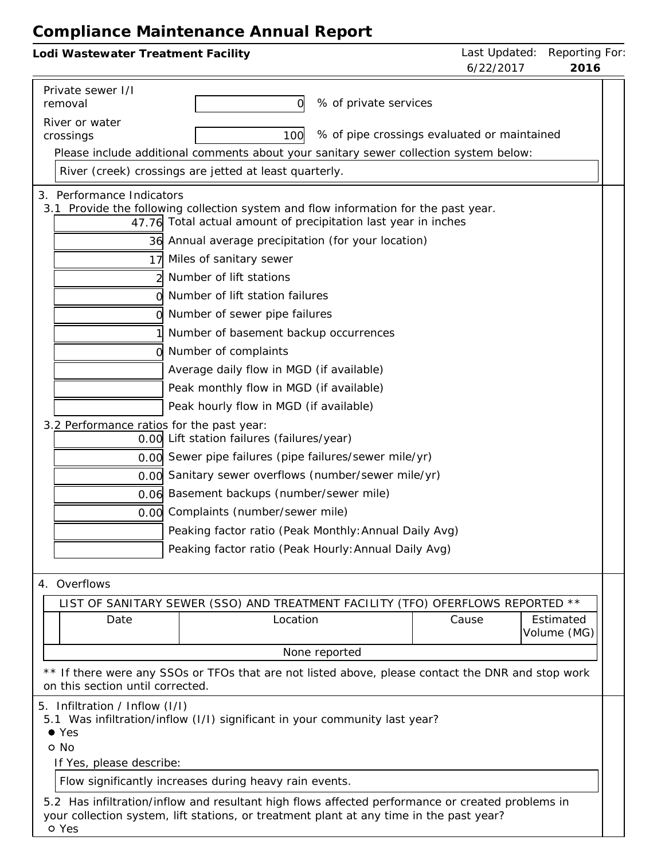| Lodi Wastewater Treatment Facility                                                                                                                                                          | Last Updated: Reporting For:<br>6/22/2017<br>2016 |
|---------------------------------------------------------------------------------------------------------------------------------------------------------------------------------------------|---------------------------------------------------|
|                                                                                                                                                                                             |                                                   |
| Private sewer I/I<br>% of private services<br>0l<br>removal                                                                                                                                 |                                                   |
| River or water                                                                                                                                                                              |                                                   |
| crossings<br>100                                                                                                                                                                            | % of pipe crossings evaluated or maintained       |
| Please include additional comments about your sanitary sewer collection system below:                                                                                                       |                                                   |
| River (creek) crossings are jetted at least quarterly.                                                                                                                                      |                                                   |
| 3. Performance Indicators                                                                                                                                                                   |                                                   |
| 3.1 Provide the following collection system and flow information for the past year.                                                                                                         |                                                   |
| 47.76 Total actual amount of precipitation last year in inches                                                                                                                              |                                                   |
| 36 Annual average precipitation (for your location)                                                                                                                                         |                                                   |
| Miles of sanitary sewer<br>17                                                                                                                                                               |                                                   |
| Number of lift stations                                                                                                                                                                     |                                                   |
| Number of lift station failures                                                                                                                                                             |                                                   |
| Number of sewer pipe failures                                                                                                                                                               |                                                   |
| Number of basement backup occurrences                                                                                                                                                       |                                                   |
| Number of complaints                                                                                                                                                                        |                                                   |
| Average daily flow in MGD (if available)                                                                                                                                                    |                                                   |
| Peak monthly flow in MGD (if available)                                                                                                                                                     |                                                   |
| Peak hourly flow in MGD (if available)                                                                                                                                                      |                                                   |
| 3.2 Performance ratios for the past year:<br>0.00 Lift station failures (failures/year)                                                                                                     |                                                   |
| 0.00 Sewer pipe failures (pipe failures/sewer mile/yr)                                                                                                                                      |                                                   |
| 0.00 Sanitary sewer overflows (number/sewer mile/yr)                                                                                                                                        |                                                   |
| 0.06 Basement backups (number/sewer mile)                                                                                                                                                   |                                                   |
| Complaints (number/sewer mile)<br>0.00                                                                                                                                                      |                                                   |
| Peaking factor ratio (Peak Monthly: Annual Daily Avg)                                                                                                                                       |                                                   |
| Peaking factor ratio (Peak Hourly: Annual Daily Avg)                                                                                                                                        |                                                   |
|                                                                                                                                                                                             |                                                   |
| 4. Overflows                                                                                                                                                                                |                                                   |
| LIST OF SANITARY SEWER (SSO) AND TREATMENT FACILITY (TFO) OFERFLOWS REPORTED **                                                                                                             |                                                   |
| Location<br>Date                                                                                                                                                                            | Cause<br>Estimated<br>Volume (MG)                 |
| None reported                                                                                                                                                                               |                                                   |
| ** If there were any SSOs or TFOs that are not listed above, please contact the DNR and stop work<br>on this section until corrected.                                                       |                                                   |
| 5. Infiltration / Inflow (I/I)                                                                                                                                                              |                                                   |
| 5.1 Was infiltration/inflow (I/I) significant in your community last year?                                                                                                                  |                                                   |
| $\bullet$ Yes                                                                                                                                                                               |                                                   |
| o No<br>If Yes, please describe:                                                                                                                                                            |                                                   |
| Flow significantly increases during heavy rain events.                                                                                                                                      |                                                   |
|                                                                                                                                                                                             |                                                   |
| 5.2 Has infiltration/inflow and resultant high flows affected performance or created problems in<br>your collection system, lift stations, or treatment plant at any time in the past year? |                                                   |
| o Yes                                                                                                                                                                                       |                                                   |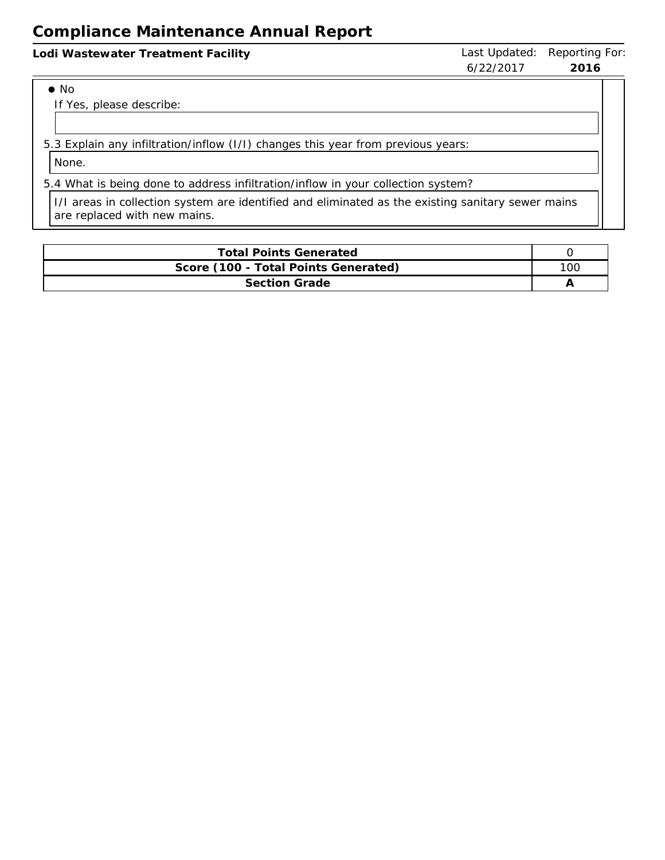| Lodi Wastewater Treatment Facility | Last Updated: Reporting For:<br>6/22/2017<br>2016 |  |
|------------------------------------|---------------------------------------------------|--|
| $\bullet$ No                       |                                                   |  |

If Yes, please describe:

5.3 Explain any infiltration/inflow (I/I) changes this year from previous years:

None.

5.4 What is being done to address infiltration/inflow in your collection system?

I/I areas in collection system are identified and eliminated as the existing sanitary sewer mains are replaced with new mains.

| <b>Total Points Generated</b>        |     |
|--------------------------------------|-----|
| Score (100 - Total Points Generated) | 10C |
| <b>Section Grade</b>                 |     |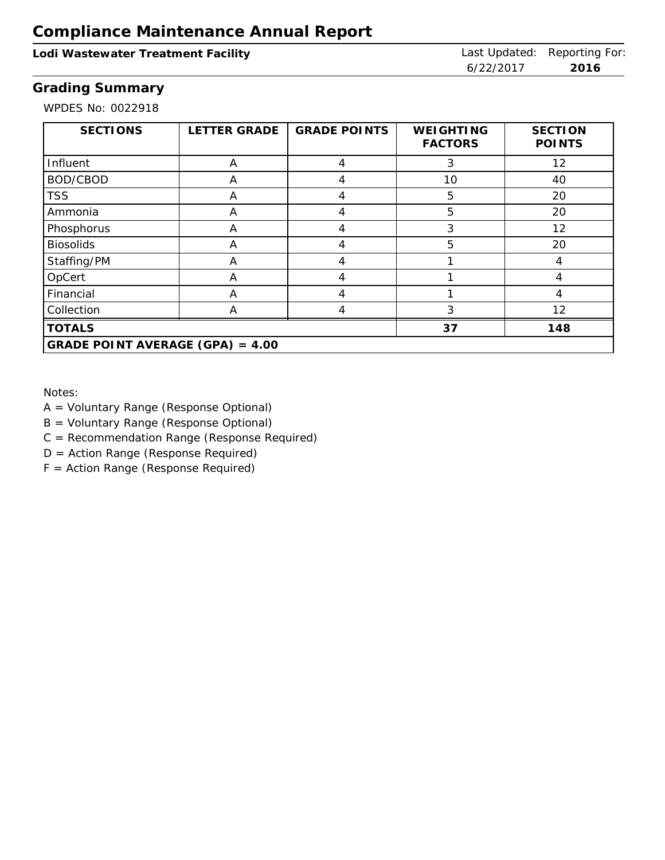## Lodi Wastewater Treatment Facility **Last Updated: Reporting For:** Last Updated: Reporting For:

6/22/2017 **2016**

## **Grading Summary**

WPDES No: 0022918

| <b>SECTIONS</b>                    | <b>LETTER GRADE</b> | <b>GRADE POINTS</b> | <b>WEIGHTING</b><br><b>FACTORS</b> | <b>SECTION</b><br><b>POINTS</b> |
|------------------------------------|---------------------|---------------------|------------------------------------|---------------------------------|
| Influent                           | A                   | 4                   | 3                                  | 12                              |
| BOD/CBOD                           | A                   |                     | 10                                 | 40                              |
| <b>TSS</b>                         | A                   | 4                   | 5                                  | 20                              |
| Ammonia                            | A                   |                     | 5                                  | 20                              |
| Phosphorus                         | A                   | 4                   | 3                                  | 12                              |
| <b>Biosolids</b>                   | A                   | 4                   | 5                                  | 20                              |
| Staffing/PM                        | A                   | 4                   |                                    | 4                               |
| OpCert                             | A                   | 4                   |                                    | 4                               |
| Financial                          | A                   | 4                   |                                    | 4                               |
| Collection                         | A                   | 4                   | 3                                  | 12                              |
| <b>TOTALS</b>                      |                     |                     | 37                                 | 148                             |
| GRADE POINT AVERAGE (GPA) = $4.00$ |                     |                     |                                    |                                 |

Notes:

- A = Voluntary Range (Response Optional)
- B = Voluntary Range (Response Optional)
- C = Recommendation Range (Response Required)
- D = Action Range (Response Required)
- F = Action Range (Response Required)